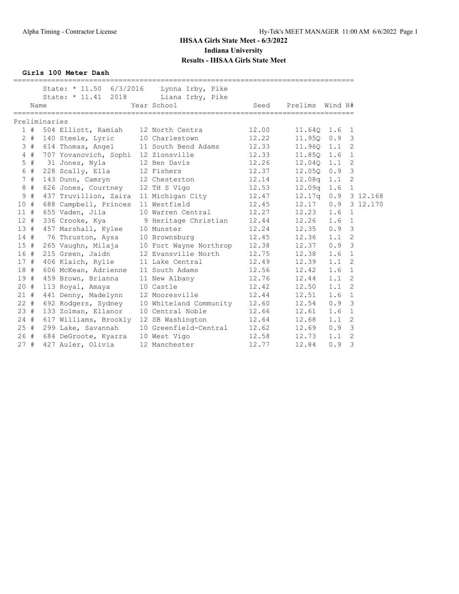**Girls 100 Meter Dash**

|        |       |               | _____________________________________<br>State: $* 11.50 6/3/2016$<br>State: * 11.41 2018 | Lynna Irby, Pike<br>Liana Irby, Pike |       |                 |     |                |          |
|--------|-------|---------------|-------------------------------------------------------------------------------------------|--------------------------------------|-------|-----------------|-----|----------------|----------|
|        | Name  |               |                                                                                           | Year School                          | Seed  | Prelims Wind H# |     |                |          |
|        |       | Preliminaries |                                                                                           |                                      |       |                 |     |                |          |
|        | 1#    |               | 504 Elliott, Ramiah 12 North Centra                                                       |                                      | 12.00 | 11.640          | 1.6 | 1              |          |
|        | $2 +$ |               | 140 Steele, Lyric                                                                         | 10 Charlestown                       | 12.22 | 11.950          | 0.9 | $\mathbf{3}$   |          |
|        | 3#    |               | 614 Thomas, Angel                                                                         | 11 South Bend Adams                  | 12.33 | 11.96Q          | 1.1 | 2              |          |
|        | 4#    |               | 707 Yovanovich, Sophi 12 Zionsville                                                       |                                      | 12.33 | 11.85Q          | 1.6 | $\mathbf{1}$   |          |
|        | $5$ # |               | 31 Jones, Nyla                                                                            | 12 Ben Davis                         | 12.26 | 12.040          | 1.1 | 2              |          |
|        | 6 #   |               | 228 Scally, Ella                                                                          | 12 Fishers                           | 12.37 | 12.05Q          | 0.9 | $\mathcal{S}$  |          |
|        | 7#    |               | 143 Dunn, Camryn                                                                          | 12 Chesterton                        | 12.14 | 12.08q          | 1.1 | 2              |          |
|        | 8#    |               | 626 Jones, Courtney                                                                       | 12 TH S Vigo                         | 12.53 | 12.09q          | 1.6 | $\mathbf{1}$   |          |
|        | 9#    |               | 437 Truvillion, Zaira                                                                     | 11 Michigan City                     | 12.47 | 12.17q          | 0.9 |                | 3 12.168 |
| 10#    |       |               | 688 Campbell, Princes                                                                     | 11 Westfield                         | 12.45 | 12.17           | 0.9 |                | 3 12.170 |
| 11#    |       |               | 655 Vaden, Jila                                                                           | 10 Warren Central                    | 12.27 | 12.23           | 1.6 | 1              |          |
| 12#    |       |               | 336 Crooke, Kya                                                                           | 9 Heritage Christian                 | 12.44 | 12.26           | 1.6 | $\mathbf{1}$   |          |
| 13#    |       |               | 457 Marshall, Kylee                                                                       | 10 Munster                           | 12.24 | 12.35           | 0.9 | $\overline{3}$ |          |
| $14$ # |       |               | 76 Thruston, Aysa                                                                         | 10 Brownsburg                        | 12.45 | 12.36           | 1.1 | 2              |          |
| 15#    |       |               | 265 Vaughn, Milaja                                                                        | 10 Fort Wayne Northrop               | 12.38 | 12.37           | 0.9 | 3              |          |
| 16#    |       |               | 215 Green, Jaidn                                                                          | 12 Evansville North                  | 12.75 | 12.38           | 1.6 | $\mathbf{1}$   |          |
| 17#    |       |               | 406 Klaich, Rylie                                                                         | 11 Lake Central                      | 12.49 | 12.39           | 1.1 | 2              |          |
| 18#    |       |               | 606 McKean, Adrienne                                                                      | 11 South Adams                       | 12.56 | 12.42           | 1.6 | $\mathbf{1}$   |          |
| 19#    |       |               | 459 Brown, Brianna                                                                        | 11 New Albany                        | 12.76 | 12.44           | 1.1 | 2              |          |
| $20 +$ |       |               | 113 Royal, Amaya                                                                          | 10 Castle                            | 12.42 | 12.50           | 1.1 | 2              |          |
| 21#    |       |               | 441 Denny, Madelynn                                                                       | 12 Mooresville                       | 12.44 | 12.51           | 1.6 | $\mathbf{1}$   |          |
| $22 +$ |       |               | 692 Rodgers, Sydney                                                                       | 10 Whiteland Community               | 12.60 | 12.54           | 0.9 | 3              |          |
| 23#    |       |               | 133 Zolman, Ellanor                                                                       | 10 Central Noble                     | 12.66 | 12.61           | 1.6 | 1              |          |
| $24 +$ |       |               | 617 Williams, Brookly                                                                     | 12 SB Washington                     | 12.64 | 12.68           | 1.1 | $\overline{2}$ |          |
| 25#    |       |               | 299 Lake, Savannah                                                                        | 10 Greenfield-Central                | 12.62 | 12.69           | 0.9 | 3              |          |
| 26#    |       |               | 684 DeGroote, Kyarra                                                                      | 10 West Vigo                         | 12.58 | 12.73           | 1.1 | $\overline{2}$ |          |
| 27#    |       |               | 427 Auler, Olivia                                                                         | 12 Manchester                        | 12.77 | 12.84           | 0.9 | 3              |          |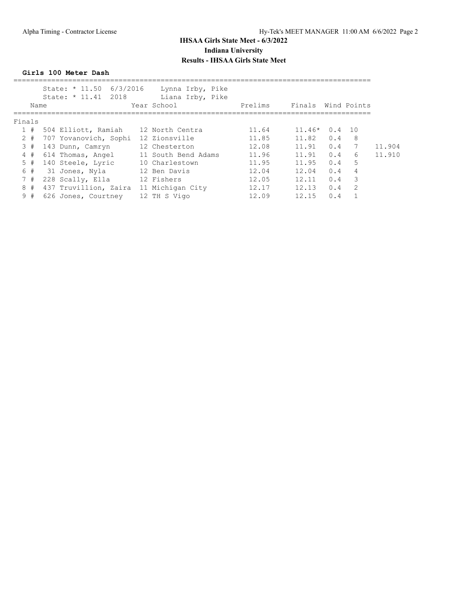**Girls 100 Meter Dash**

| State: * 11.50<br>State: * 11.41 2018 | Lynna Irby, Pike<br>Liana Irby, Pike | Prelims                 | Finals |     |                |             |
|---------------------------------------|--------------------------------------|-------------------------|--------|-----|----------------|-------------|
|                                       |                                      |                         |        |     |                |             |
| 504 Elliott, Ramiah                   | 12 North Centra                      | 11.64                   |        | 0.4 | 10             |             |
| 707 Yovanovich, Sophi                 | 12 Zionsville                        | 11.85                   | 11.82  | 0.4 | 8              |             |
| 143 Dunn, Camryn                      | 12 Chesterton                        | 12.08                   | 11.91  | 0.4 | 7              | 11.904      |
| 614 Thomas, Angel                     | 11 South Bend Adams                  | 11.96                   | 11.91  | 0.4 | 6              | 11.910      |
| 140 Steele, Lyric                     | 10 Charlestown                       | 11.95                   | 11.95  | 0.4 | 5              |             |
| 31 Jones, Nyla                        | 12 Ben Davis                         | 12.04                   | 12.04  | 0.4 | $\overline{4}$ |             |
| 228 Scally, Ella                      | 12 Fishers                           | 12.05                   | 12.11  | 0.4 | 3              |             |
| 437 Truvillion, Zaira                 | 11 Michigan City                     | 12.17                   | 12.13  | 0.4 | 2              |             |
| 626 Jones, Courtney                   | 12 TH S Vigo                         | 12.09                   | 12.15  | 0.4 |                |             |
|                                       | Name<br>Finals                       | 6/3/2016<br>Year School |        |     | $11.46*$       | Wind Points |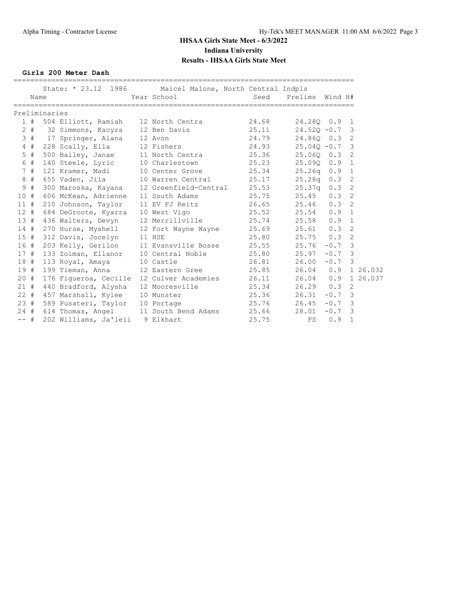**Girls 200 Meter Dash**

|        |         |               |                                     | State: * 23.12 1986 Maicel Malone, North Central Indpls | ============================== |                      |        |                         |
|--------|---------|---------------|-------------------------------------|---------------------------------------------------------|--------------------------------|----------------------|--------|-------------------------|
|        | Name    |               |                                     | Year School                                             |                                | Seed Prelims Wind H# |        |                         |
|        |         | Preliminaries |                                     |                                                         |                                |                      |        |                         |
|        | 1#      |               | 504 Elliott, Ramiah 12 North Centra |                                                         | 24.68                          | 24.280 0.9 1         |        |                         |
|        | $2 +$   |               | 32 Simmons, Kacyra 12 Ben Davis     |                                                         | 25.11                          | $24.520 - 0.7$       |        | $\overline{\mathbf{3}}$ |
|        | 3#      |               | 17 Springer, Alana 12 Avon          |                                                         | 24.79                          | 24.860 0.3           |        | 2                       |
|        | $4$ #   |               | 228 Scally, Ella 12 Fishers         |                                                         | 24.93                          | $25.040 - 0.7$       |        | $\overline{\mathbf{3}}$ |
|        | $5$ #   |               |                                     | 500 Bailey, Janae 11 North Centra 25.36                 |                                | 25.060 0.3           |        | 2                       |
|        | 6 #     |               | 140 Steele, Lyric                   | 10 Charlestown 25.23                                    |                                | 25.090 0.9           |        | $\mathbf{1}$            |
|        | 7#      |               | 121 Kramer, Madi                    | 10 Center Grove                                         | 25.34                          | $25.26q$ 0.9         |        | $\mathbf{1}$            |
|        | 8#      |               |                                     | 655 Vaden, Jila 10 Warren Central 25.17                 |                                | $25.28q$ 0.3         |        | 2                       |
| 9      | #       |               |                                     | 300 Maroska, Kayana 12 Greenfield-Central               | 25.53                          | $25.37q$ 0.3         |        | 2                       |
| 10#    |         |               | 606 McKean, Adrienne                | 11 South Adams                                          | 25.75                          | 25.45                | 0.3    | 2                       |
| 11#    |         |               | 210 Johnson, Taylor                 | 11 EV FJ Reitz                                          | 26.65                          | 25.46                | 0.3    | 2                       |
|        | 12#     |               | 684 DeGroote, Kyarra 10 West Vigo   |                                                         | 25.52                          | 25.54                | 0.9    | $\mathbf{1}$            |
|        | 13#     |               |                                     | 436 Walters, Devyn 12 Merrillville 25.74                |                                | $25.58$ 0.9          |        | 1                       |
|        | 14#     |               | 270 Hurse, Myshell                  | 12 Fort Wayne Wayne                                     |                                | 25.69 25.61 0.3      |        | 2                       |
|        | 15#     |               | 312 Davis, Jocelyn                  | 11 HSE                                                  | 25.80                          | $25.75$ 0.3          |        | $\mathfrak{D}$          |
|        | 16#     |               |                                     | 203 Kelly, Gerilon 11 Evansville Bosse                  | 25.55                          | 25.76                | $-0.7$ | $\overline{\mathbf{3}}$ |
| 17#    |         |               |                                     | 133 Zolman, Ellanor 10 Central Noble                    | 25.80                          | 25.97                | $-0.7$ | 3                       |
|        | 18 #    |               | 113 Royal, Amaya                    | 10 Castle                                               | 26.81                          | 26.00                | $-0.7$ | 3                       |
| 19#    |         |               | 199 Tieman, Anna 12 Eastern Gree    |                                                         | 25.85                          | 26.04                | 0.9    | 1 26.032                |
| $20 +$ |         |               |                                     | 176 Figueroa, Cecille 12 Culver Academies               | 26.11                          | 26.04                | 0.9    | 1 26.037                |
|        | 21#     |               | 440 Bradford, Alysha                | 12 Mooresville                                          | 25.34                          | $26.29$ 0.3          |        | 2                       |
|        | $22 \#$ |               | 457 Marshall, Kylee                 | 10 Munster                                              | 25.36                          | 26.31                | $-0.7$ | $\overline{3}$          |
|        | 23#     |               | 589 Pusateri, Taylor 10 Portage     |                                                         | 25.76                          | $26.45 - 0.7$        |        | $\overline{3}$          |
|        | 24#     |               |                                     | 614 Thomas, Angel 11 South Bend Adams                   | 25.66                          | 28.01                | $-0.7$ | 3                       |
| $--$ # |         |               | 202 Williams, Ja'leii               | 9 Elkhart                                               | 25.75                          | FS                   | 0.9    | $\mathbf 1$             |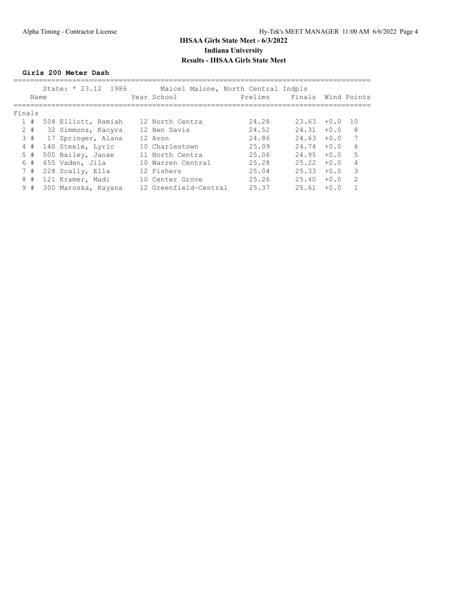#### **Girls 200 Meter Dash**

|        | Name  | State: $* 23.12 1986$ | Maicel Malone, North Central Indpls<br>Year School | Prelims | Finals |        | Wind Points   |
|--------|-------|-----------------------|----------------------------------------------------|---------|--------|--------|---------------|
| Finals |       |                       |                                                    |         |        |        |               |
|        | 1#    | 504 Elliott, Ramiah   | 12 North Centra                                    | 24.28   | 23.63  | $+0.0$ | 1 O           |
|        | $2 +$ | 32 Simmons, Kacyra    | 12 Ben Davis                                       | 24.52   | 24.31  | $+0.0$ | 8             |
|        | 3#    | 17 Springer, Alana    | 12 Avon                                            | 24.86   | 24.63  | $+0.0$ |               |
| 4      | #     | 140 Steele, Lyric     | 10 Charlestown                                     | 25.09   | 24.74  | $+0.0$ | 6             |
|        | 5#    | 500 Bailey, Janae     | 11 North Centra                                    | 25.06   | 24.95  | $+0.0$ | 5             |
| 6      | #     | 655 Vaden, Jila       | 10 Warren Central                                  | 25.28   | 25.22  | $+0.0$ | 4             |
|        | 7#    | 228 Scally, Ella      | 12 Fishers                                         | 25.04   | 25.33  | $+0.0$ | 3             |
| 8      | #     | 121 Kramer, Madi      | 10 Center Grove                                    | 25.26   | 25.40  | $+0.0$ | $\mathcal{L}$ |
|        | 9#    | 300 Maroska, Kayana   | 12 Greenfield-Central                              | 25.37   | 25.61  | $+0.0$ |               |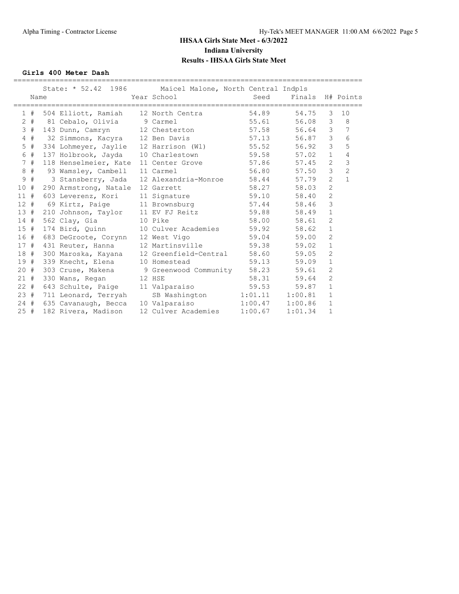**Girls 400 Meter Dash**

|        | Name  | State: * 52.42 1986 Maicel Malone, North Central Indpls | Year School Seed                              |       | Finals H# Points |                |                 |
|--------|-------|---------------------------------------------------------|-----------------------------------------------|-------|------------------|----------------|-----------------|
|        | 1#    | 504 Elliott, Ramiah 12 North Centra                     |                                               | 54.89 | 54.75            | 3              | 10              |
|        | $2 +$ | 81 Cebalo, Olivia (6) 9 Carmel                          |                                               | 55.61 | 56.08            | 3              | 8               |
|        | 3#    | 143 Dunn, Camryn 12 Chesterton                          |                                               | 57.58 | 56.64            | 3              | 7               |
|        | $4$ # | 32 Simmons, Kacyra 12 Ben Davis 57.13                   |                                               |       | 56.87            | $\mathcal{S}$  | $6\phantom{.}6$ |
| 5      | $\#$  | 334 Lohmeyer, Jaylie 12 Harrison (Wl) 55.52             |                                               |       | 56.92            | $\mathcal{S}$  | 5               |
| 6      | #     | 137 Holbrook, Jayda 10 Charlestown 59.58                |                                               |       | 57.02            | $\mathbf{1}$   | $\overline{4}$  |
|        | 7#    | 118 Henselmeier, Kate 11 Center Grove 57.86             |                                               |       | 57.45            | $\overline{2}$ | $\mathbf{3}$    |
| 8      | #     | 93 Wamsley, Cambell 11 Carmel                           |                                               | 56.80 | 57.50            | $\mathfrak{Z}$ | $\overline{c}$  |
| 9      | #     |                                                         | 3 Stansberry, Jada 12 Alexandria-Monroe 58.44 |       | 57.79            | $\overline{2}$ | $\mathbf{1}$    |
| 10#    |       | 290 Armstrong, Natale 12 Garrett                        |                                               | 58.27 | 58.03            | $\overline{2}$ |                 |
| $11$ # |       | 603 Leverenz, Kori 11 Signature                         |                                               | 59.10 | 58.40            | $\overline{2}$ |                 |
| $12 +$ |       | 69 Kirtz, Paige 11 Brownsburg 57.44                     |                                               |       | 58.46            | 3              |                 |
| 13#    |       | 210 Johnson, Taylor 11 EV FJ Reitz 59.88                |                                               |       | 58.49            | $\mathbf 1$    |                 |
| 14#    |       | 562 Clay, Gia                                           | 10 Pike                                       | 58.00 | 58.61            | $\overline{2}$ |                 |
| 15#    |       | 174 Bird, Quinn 10 Culver Academies 59.92               |                                               |       | 58.62            | $1\,$          |                 |
| 16#    |       | 683 DeGroote, Corynn 12 West Vigo                       |                                               | 59.04 | 59.00            | $\overline{2}$ |                 |
| 17#    |       | 431 Reuter, Hanna 12 Martinsville 59.38                 |                                               |       | 59.02            | $\mathbf 1$    |                 |
| 18 #   |       | 300 Maroska, Kayana 12 Greenfield-Central 58.60         |                                               |       | 59.05            | $\mathbf{2}$   |                 |
| 19#    |       | 339 Knecht, Elena                                       | 10 Homestead                                  | 59.13 | 59.09            | $\mathbf 1$    |                 |
| $20 +$ |       | 303 Cruse, Makena 9 Greenwood Community 58.23           |                                               |       | 59.61            | $\overline{2}$ |                 |
| 21#    |       | 330 Wans, Regan 12 HSE                                  |                                               | 58.31 | 59.64            | $\overline{2}$ |                 |
| $22 +$ |       | 643 Schulte, Paige 11 Valparaiso                        |                                               | 59.53 | 59.87            | $\mathbf{1}$   |                 |
| 23#    |       | 711 Leonard, Terryah                                    | SB Washington 1:01.11 1:00.81                 |       |                  | $\mathbf{1}$   |                 |
| 24#    |       | 635 Cavanaugh, Becca                                    | 10 Valparaiso 1:00.47 1:00.86                 |       |                  | $\mathbf{1}$   |                 |
| 25#    |       | 182 Rivera, Madison                                     | 12 Culver Academies 1:00.67                   |       | 1:01.34          | $\mathbf{1}$   |                 |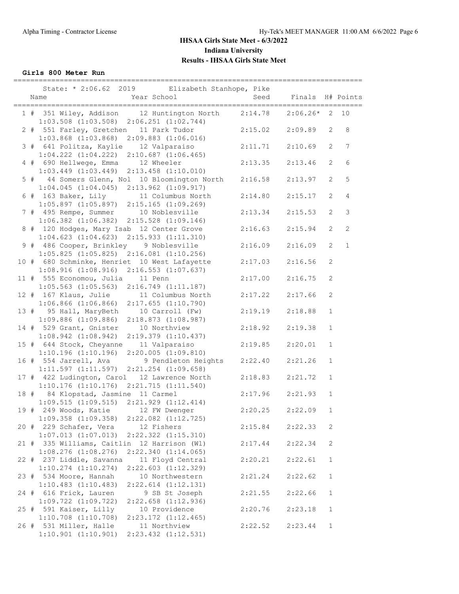**Girls 800 Meter Run**

|      | ===============<br>State: * 2:06.62 2019 Elizabeth Stanhope, Pike<br>Year School<br>Name                                      | -----------------<br>Seed | Finals             |                              | H# Points       |
|------|-------------------------------------------------------------------------------------------------------------------------------|---------------------------|--------------------|------------------------------|-----------------|
|      | 1 # 351 Wiley, Addison 12 Huntington North<br>$1:03.508$ $(1:03.508)$ $2:06.251$ $(1:02.744)$                                 | 2:14.78                   | $2:06.26*$         | $\overline{2}$               | 10              |
|      | 2 # 551 Farley, Gretchen 11 Park Tudor<br>$1:03.868$ $(1:03.868)$ $2:09.883$ $(1:06.016)$                                     | 2:15.02                   | 2:09.89            | 2                            | 8               |
|      | 3 # 641 Politza, Kaylie 12 Valparaiso<br>$1:04.222$ $(1:04.222)$ $2:10.687$ $(1:06.465)$                                      | 2:11.71                   | 2:10.69            | $\overline{2}$               | $7\phantom{.0}$ |
|      | 4 # 690 Hellwege, Emma 12 Wheeler<br>$1:03.449$ $(1:03.449)$ $2:13.458$ $(1:10.010)$                                          | 2:13.35                   | 2:13.46            | 2                            | 6               |
|      | 5 # 44 Somers Glenn, Nol 10 Bloomington North<br>$1:04.045$ $(1:04.045)$ $2:13.962$ $(1:09.917)$                              | 2:16.58                   | 2:13.97            | 2                            | 5               |
|      | 6 # 163 Baker, Lily 11 Columbus North<br>$1:05.897$ $(1:05.897)$ $2:15.165$ $(1:09.269)$                                      | 2:14.80                   | 2:15.17            | $\mathbf{2}$                 | $\overline{4}$  |
|      | 7 # 495 Rempe, Summer 10 Noblesville<br>1:06.382 (1:06.382) 2:15.528 (1:09.146)                                               | 2:13.34                   | 2:15.53            | 2                            | $\mathsf 3$     |
|      | 8 # 120 Hodges, Mary Isab 12 Center Grove<br>$1:04.623$ $(1:04.623)$ $2:15.933$ $(1:11.310)$                                  | 2:16.63                   | 2:15.94            | 2                            | $\overline{c}$  |
|      | 9 # 486 Cooper, Brinkley 9 Noblesville<br>$1:05.825$ $(1:05.825)$ $2:16.081$ $(1:10.256)$                                     | 2:16.09                   | 2:16.09            | $\overline{2}$               | $\mathbf{1}$    |
|      | 10 # 680 Schminke, Henriet 10 West Lafayette<br>$1:08.916$ $(1:08.916)$ $2:16.553$ $(1:07.637)$                               | 2:17.03                   | 2:16.56            | 2                            |                 |
|      | 11 # 555 Economou, Julia 11 Penn<br>$1:05.563$ $(1:05.563)$ $2:16.749$ $(1:11.187)$                                           | 2:17.00                   | 2:16.75            | 2                            |                 |
|      | 12 # 167 Klaus, Julie 11 Columbus North<br>$1:06.866$ (1:06.866) 2:17.655 (1:10.790)                                          | 2:17.22                   | 2:17.66            | $\mathbf{2}$                 |                 |
|      | 13 # 95 Hall, MaryBeth 10 Carroll (Fw)<br>$1:09.886$ (1:09.886) $2:18.873$ (1:08.987)                                         | 2:19.19                   | 2:18.88            | $\mathbf{1}$                 |                 |
|      | 14 # 529 Grant, Gnister<br>10 Northview<br>$1:08.942$ $(1:08.942)$<br>$2:19.379$ $(1:10.437)$                                 | 2:18.92                   | 2:19.38            | $\mathbf{1}$                 |                 |
|      | 15 # 644 Stock, Cheyanne<br>11 Valparaiso<br>$1:10.196$ $(1:10.196)$ $2:20.005$ $(1:09.810)$                                  | 2:19.85                   | 2:20.01            | $\mathbf{1}$                 |                 |
|      | 16 # 554 Jarrell, Ava<br>9 Pendleton Heights<br>$1:11.597$ $(1:11.597)$ $2:21.254$ $(1:09.658)$                               | 2:22.40                   | 2:21.26            | $\mathbf{1}$                 |                 |
|      | 17 # 422 Ludington, Carol 12 Lawrence North<br>$1:10.176$ $(1:10.176)$ $2:21.715$ $(1:11.540)$                                | 2:18.83<br>2:17.96        | 2:21.72<br>2:21.93 | $\mathbf{1}$<br>$\mathbf{1}$ |                 |
|      | 18 # 84 Klopstad, Jasmine 11 Carmel<br>$1:09.515$ $(1:09.515)$ $2:21.929$ $(1:12.414)$<br>19 # 249 Woods, Katie 12 FW Dwenger | 2:20.25                   | 2:22.09            | $\mathbf{1}$                 |                 |
|      | $1:09.358$ $(1:09.358)$<br>2:22.082 (1:12.725)<br>20 # 229 Schafer, Vera<br>12 Fishers                                        | 2:15.84                   |                    | 2                            |                 |
|      | $1:07.013$ $(1:07.013)$<br>2:22.322 (1:15.310)<br>21 # 335 Williams, Caitlin 12 Harrison (Wl)                                 | 2:17.44                   | 2:22.33<br>2:22.34 | 2                            |                 |
|      | $1:08.276$ $(1:08.276)$<br>2:22.340(1:14.065)<br>22 # 237 Liddle, Savanna<br>11 Floyd Central                                 | 2:20.21                   | 2:22.61            | $\mathbf{1}$                 |                 |
| 23 # | $1:10.274$ $(1:10.274)$<br>$2:22.603$ $(1:12.329)$<br>534 Moore, Hannah<br>10 Northwestern                                    | 2:21.24                   | 2:22.62            | $\mathbf{1}$                 |                 |
| 24 # | $1:10.483$ $(1:10.483)$<br>$2:22.614$ $(1:12.131)$<br>616 Frick, Lauren<br>9 SB St Joseph                                     | 2:21.55                   | 2:22.66            | $\mathbf{1}$                 |                 |
| 25#  | $1:09.722$ $(1:09.722)$<br>2:22.658 (1:12.936)<br>591 Kaiser, Lilly<br>10 Providence                                          | 2:20.76                   | 2:23.18            | $\mathbf{1}$                 |                 |
|      | $1:10.708$ $(1:10.708)$<br>$2:23.172$ $(1:12.465)$<br>26 # 531 Miller, Halle<br>11 Northview                                  | 2:22.52                   | 2:23.44            | $\mathbf{1}$                 |                 |
|      | $1:10.901$ $(1:10.901)$<br>2:23.432 (1:12.531)                                                                                |                           |                    |                              |                 |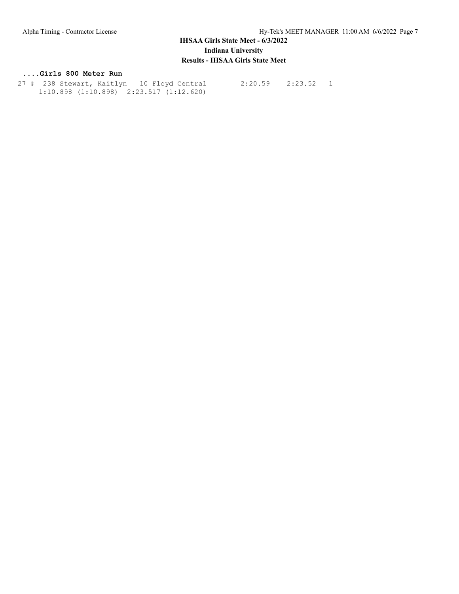#### **....Girls 800 Meter Run**

 27 # 238 Stewart, Kaitlyn 10 Floyd Central 2:20.59 2:23.52 1 1:10.898 (1:10.898) 2:23.517 (1:12.620)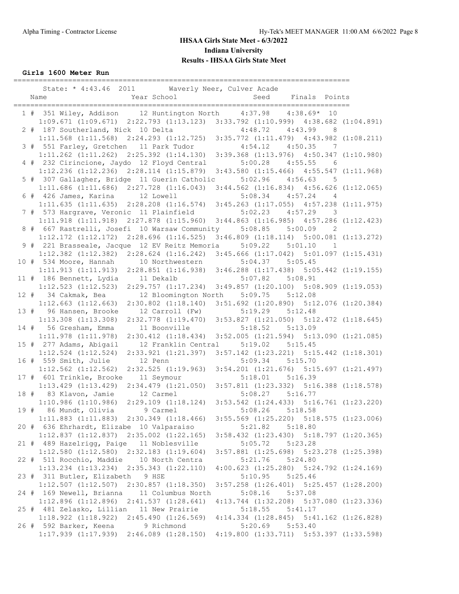**Girls 1600 Meter Run**

|    | State: * 4:43.46 2011 Waverly Neer, Culver Acade                                                |         |                                                 |                |
|----|-------------------------------------------------------------------------------------------------|---------|-------------------------------------------------|----------------|
|    | Year School<br>Name                                                                             | Seed    | Finals Points                                   |                |
|    |                                                                                                 |         |                                                 |                |
|    | 1 # 351 Wiley, Addison 12 Huntington North 4:37.98 4:38.69* 10                                  |         |                                                 |                |
|    | $1:09.671$ $(1:09.671)$ $2:22.793$ $(1:13.123)$ $3:33.792$ $(1:10.999)$ $4:38.682$ $(1:04.891)$ |         |                                                 |                |
|    | 2 # 187 Southerland, Nick 10 Delta                                                              |         | $4:48.72$ $4:43.99$ 8                           |                |
|    | 1:11.568 (1:11.568) 2:24.293 (1:12.725) 3:35.772 (1:11.479) 4:43.982 (1:08.211)                 |         |                                                 |                |
|    | 3 # 551 Farley, Gretchen 11 Park Tudor                                                          |         | $4:54.12$ $4:50.35$                             | $\overline{7}$ |
|    | 1:11.262 (1:11.262) 2:25.392 (1:14.130) 3:39.368 (1:13.976) 4:50.347 (1:10.980)                 |         |                                                 |                |
|    | 4 # 232 Cirincione, Jaydo 12 Floyd Central                                                      | 5:00.28 | 4:55.55                                         | - 6            |
|    | 1:12.236 (1:12.236) 2:28.114 (1:15.879) 3:43.580 (1:15.466) 4:55.547 (1:11.968)                 |         |                                                 |                |
|    | 5 # 307 Gallagher, Bridge 11 Guerin Catholic                                                    |         | $5:02.96$ $4:56.63$                             | 5              |
|    | 1:11.686 (1:11.686) 2:27.728 (1:16.043) 3:44.562 (1:16.834) 4:56.626 (1:12.065)                 |         |                                                 |                |
|    | 6 # 426 James, Karina 12 Lowell                                                                 | 5:08.34 | 4:57.24<br>$\overline{4}$                       |                |
|    | $1:11.635$ $(1:11.635)$ $2:28.208$ $(1:16.574)$ $3:45.263$ $(1:17.055)$ $4:57.238$ $(1:11.975)$ |         |                                                 |                |
|    | 7 # 573 Hargrave, Veronic 11 Plainfield                                                         | 5:02.23 | 4:57.29                                         | 3              |
|    | 1:11.918 (1:11.918) 2:27.878 (1:15.960) 3:44.863 (1:16.985) 4:57.286 (1:12.423)                 |         |                                                 |                |
|    | 8 # 667 Rastrelli, Josefi 10 Warsaw Community                                                   |         | $5:08.85$ $5:00.09$<br>$\overline{\phantom{a}}$ |                |
|    | $1:12.172$ $(1:12.172)$<br>$2:28.696$ $(1:16.525)$                                              |         | $3:46.809$ $(1:18.114)$ $5:00.081$ $(1:13.272)$ |                |
| 9# | 221 Brasseale, Jacque 12 EV Reitz Memoria                                                       |         | $5:09.22$ $5:01.10$<br>$\overline{1}$           |                |
|    | $1:12.382$ $(1:12.382)$ $2:28.624$ $(1:16.242)$                                                 |         | $3:45.666$ $(1:17.042)$ $5:01.097$ $(1:15.431)$ |                |
|    | 10 # 534 Moore, Hannah 10 Northwestern                                                          |         | $5:04.37$ $5:05.45$                             |                |
|    | $2:28.851$ (1:16.938) $3:46.288$ (1:17.438) $5:05.442$ (1:19.155)<br>1:11.913(1:11.913)         |         |                                                 |                |
|    | 11 # 186 Bennett, Lydia 11 Dekalb                                                               |         | $5:07.82$ $5:08.91$                             |                |
|    | $1:12.523$ $(1:12.523)$<br>2:29.757(1:17.234)                                                   |         | $3:49.857$ $(1:20.100)$ $5:08.909$ $(1:19.053)$ |                |
|    | 12 # 34 Cakmak, Bea<br>12 Bloomington North                                                     | 5:09.75 | 5:12.08                                         |                |
|    | $1:12.663$ $(1:12.663)$<br>$2:30.802$ $(1:18.140)$                                              |         | $3:51.692$ $(1:20.890)$ $5:12.076$ $(1:20.384)$ |                |
|    | 13 # 96 Hansen, Brooke<br>12 Carroll (Fw)                                                       | 5:19.29 | 5:12.48                                         |                |
|    | $1:13.308$ $(1:13.308)$<br>2:32.778 (1:19.470) 3:53.827 (1:21.050) 5:12.472 (1:18.645)          |         |                                                 |                |
|    | 14 # 56 Gresham, Emma<br>11 Boonville                                                           |         | $5:18.52$ $5:13.09$                             |                |
|    | $1:11.978$ $(1:11.978)$<br>2:30.412 (1:18.434) 3:52.005 (1:21.594) 5:13.090 (1:21.085)          |         |                                                 |                |
|    | 15 # 277 Adams, Abigail<br>12 Franklin Central                                                  |         | $5:19.02$ $5:15.45$                             |                |
|    | $1:12.524$ $(1:12.524)$<br>2:33.921 (1:21.397) 3:57.142 (1:23.221) 5:15.442 (1:18.301)          |         |                                                 |                |
|    | 16 # 559 Smith, Julie<br>12 Penn                                                                | 5:09.34 | 5:15.70                                         |                |
|    | $1:12.562$ $(1:12.562)$<br>$2:32.525$ $(1:19.963)$                                              |         | $3:54.201$ $(1:21.676)$ $5:15.697$ $(1:21.497)$ |                |
|    | 17 # 601 Trinkle, Brooke 11 Seymour                                                             |         | $5:18.01$ $5:16.39$                             |                |
|    | $1:13.429$ $(1:13.429)$<br>2:34.479 (1:21.050) 3:57.811 (1:23.332) 5:16.388 (1:18.578)          |         |                                                 |                |
|    | 18 # 83 Klavon, Jamie<br>12 Carmel                                                              | 5:08.27 | 5:16.77                                         |                |
|    | 1:10.986(1:10.986)<br>2:29.109 (1:18.124) 3:53.542 (1:24.433) 5:16.761 (1:23.220)               |         |                                                 |                |
|    | 19 # 86 Mundt, Olivia<br>9 Carmel                                                               | 5:08.26 | 5:18.58                                         |                |
|    | $1:11.883$ $(1:11.883)$ $2:30.349$ $(1:18.466)$                                                 |         | $3:55.569$ $(1:25.220)$ $5:18.575$ $(1:23.006)$ |                |
|    | 20 # 636 Ehrhardt, Elizabe 10 Valparaiso                                                        | 5:21.82 | 5:18.80                                         |                |
|    | $1:12.837$ $(1:12.837)$ $2:35.002$ $(1:22.165)$                                                 |         | $3:58.432$ $(1:23.430)$ $5:18.797$ $(1:20.365)$ |                |
|    | 21 # 489 Hazelrigg, Paige 11 Noblesville                                                        | 5:05.72 | 5:23.28                                         |                |
|    | $1:12.580$ $(1:12.580)$ $2:32.183$ $(1:19.604)$                                                 |         | 3:57.881 (1:25.698) 5:23.278 (1:25.398)         |                |
|    | 22 # 511 Rocchio, Maddie 10 North Centra                                                        | 5:21.76 | 5:24.80                                         |                |
|    |                                                                                                 |         |                                                 |                |
|    | $1:13.234$ $(1:13.234)$ $2:35.343$ $(1:22.110)$                                                 |         | $4:00.623$ $(1:25.280)$ $5:24.792$ $(1:24.169)$ |                |
|    | 23 # 311 Butler, Elizabeth 9 HSE                                                                | 5:10.95 | 5:25.46                                         |                |
|    | $1:12.507$ $(1:12.507)$<br>$2:30.857$ $(1:18.350)$                                              |         | $3:57.258$ $(1:26.401)$ $5:25.457$ $(1:28.200)$ |                |
|    | 24 # 169 Newell, Brianna<br>11 Columbus North                                                   | 5:08.16 | 5:37.08                                         |                |
|    | $1:12.896$ $(1:12.896)$<br>2:41.537(1:28.641)                                                   |         | $4:13.744$ $(1:32.208)$ $5:37.080$ $(1:23.336)$ |                |
|    | 25 # 481 Zelasko, Lillian 11 New Prairie                                                        | 5:18.55 | 5:41.17                                         |                |
|    | $1:18.922$ $(1:18.922)$<br>2:45.490(1:26.569)                                                   |         | $4:14.334$ $(1:28.845)$ $5:41.162$ $(1:26.828)$ |                |
|    | 26 # 592 Barker, Keena<br>9 Richmond                                                            | 5:20.69 | 5:53.40                                         |                |
|    | $1:17.939$ $(1:17.939)$ $2:46.089$ $(1:28.150)$                                                 |         | 4:19.800 (1:33.711) 5:53.397 (1:33.598)         |                |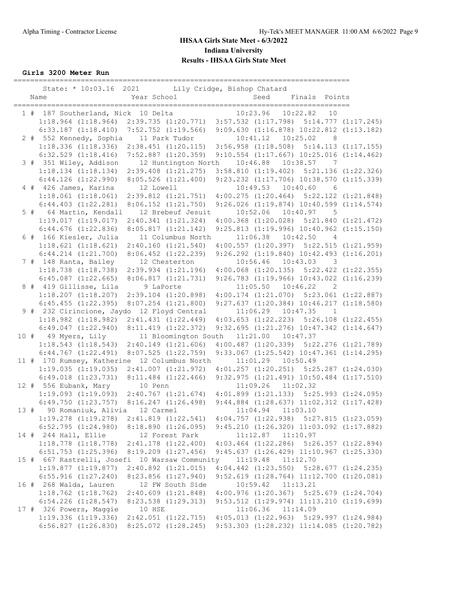**Girls 3200 Meter Run**

|  | State: * 10:03.16 2021 Lily Cridge, Bishop Chatard                                                                    |             |                                                             |          |                                                   |                            |  |
|--|-----------------------------------------------------------------------------------------------------------------------|-------------|-------------------------------------------------------------|----------|---------------------------------------------------|----------------------------|--|
|  | Name                                                                                                                  | Year School |                                                             | Seed     | Finals Points                                     |                            |  |
|  |                                                                                                                       |             |                                                             |          | ____________________________<br>10:23.96 10:22.82 | 10                         |  |
|  | 1 # 187 Southerland, Nick 10 Delta<br>1:18.964 (1:18.964) 2:39.735 (1:20.771) 3:57.532 (1:17.798) 5:14.777 (1:17.245) |             |                                                             |          |                                                   |                            |  |
|  | $6:33.187$ $(1:18.410)$ $7:52.752$ $(1:19.566)$                                                                       |             |                                                             |          | 9:09.630 (1:16.878) 10:22.812 (1:13.182)          |                            |  |
|  | 2 # 552 Kennedy, Sophia                                                                                               |             | 11 Park Tudor                                               |          | 10:41.12  10:25.02                                | $_{\rm 8}$                 |  |
|  | $1:18.336$ $(1:18.336)$ $2:38.451$ $(1:20.115)$                                                                       |             |                                                             |          | $3:56.958$ $(1:18.508)$ $5:14.113$ $(1:17.155)$   |                            |  |
|  | $6:32.529$ $(1:18.416)$                                                                                               |             | $7:52.887$ $(1:20.359)$                                     |          | $9:10.554$ $(1:17.667)$ $10:25.016$ $(1:14.462)$  |                            |  |
|  | 3 # 351 Wiley, Addison                                                                                                |             | 12 Huntington North                                         |          | 10:46.88  10:38.57  7                             |                            |  |
|  | $1:18.134$ $(1:18.134)$                                                                                               |             | 2:39.408 (1:21.275) 3:58.810 (1:19.402) 5:21.136 (1:22.326) |          |                                                   |                            |  |
|  | $6:44.126$ $(1:22.990)$                                                                                               |             | $8:05.526$ $(1:21.400)$                                     |          | 9:23.232 (1:17.706) 10:38.570 (1:15.339)          |                            |  |
|  | 4 # 426 James, Karina                                                                                                 | 12 Lowell   |                                                             |          | 10:49.53  10:40.60                                | 6                          |  |
|  | $1:18.061$ $(1:18.061)$                                                                                               |             | 2:39.812 (1:21.751) 4:00.275 (1:20.464) 5:22.122 (1:21.848) |          |                                                   |                            |  |
|  | $6:44.403$ $(1:22.281)$                                                                                               |             | $8:06.152$ $(1:21.750)$                                     |          | $9:26.026$ $(1:19.874)$ $10:40.599$ $(1:14.574)$  |                            |  |
|  | 5 # 64 Martin, Kendall                                                                                                |             | 12 Brebeuf Jesuit                                           |          | 10:52.06 10:40.97 5                               |                            |  |
|  | 1:19.017(1:19.017)                                                                                                    |             | 2:40.341 (1:21.324)                                         |          | 4:00.368 (1:20.028) 5:21.840 (1:21.472)           |                            |  |
|  | $6:44.676$ $(1:22.836)$                                                                                               |             | 8:05.817(1:21.142)                                          |          | $9:25.813$ $(1:19.996)$ $10:40.962$ $(1:15.150)$  |                            |  |
|  | 6 # 166 Kiesler, Julia                                                                                                |             | 11 Columbus North                                           |          | $11:06.38$ $10:42.50$                             | $\overline{4}$             |  |
|  | 1:18.621(1:18.621)                                                                                                    |             | $2:40.160$ $(1:21.540)$                                     |          | $4:00.557$ $(1:20.397)$ $5:22.515$ $(1:21.959)$   |                            |  |
|  | $6:44.214$ $(1:21.700)$                                                                                               |             | $8:06.452$ $(1:22.239)$                                     |          | $9:26.292$ $(1:19.840)$ $10:42.493$ $(1:16.201)$  |                            |  |
|  | 7 # 148 Ranta, Bailey                                                                                                 |             | 12 Chesterton                                               |          | 10:56.46  10:43.03  3                             |                            |  |
|  | 1:18.738 (1:18.738) 2:39.934 (1:21.196) 4:00.068 (1:20.135) 5:22.422 (1:22.355)                                       |             |                                                             |          |                                                   |                            |  |
|  | $6:45.087$ $(1:22.665)$                                                                                               |             | 8:06.817(1:21.731)                                          |          | 9:26.783 (1:19.966) 10:43.022 (1:16.239)          |                            |  |
|  | 8 # 419 Gillisse, Lila                                                                                                | 9 LaPorte   |                                                             |          | $11:05.50$ $10:46.22$                             | $\overline{\phantom{0}}^2$ |  |
|  | $1:18.207$ $(1:18.207)$                                                                                               |             | $2:39.104$ $(1:20.898)$                                     |          | $4:00.174$ $(1:21.070)$ $5:23.061$ $(1:22.887)$   |                            |  |
|  | $6:45.455$ $(1:22.395)$                                                                                               |             | $8:07.254$ $(1:21.800)$                                     |          | 9:27.637 (1:20.384) 10:46.217 (1:18.580)          |                            |  |
|  | 9 # 232 Cirincione, Jaydo 12 Floyd Central                                                                            |             |                                                             |          | $11:06.29$ $10:47.35$ 1                           |                            |  |
|  | $1:18.982$ $(1:18.982)$ $2:41.431$ $(1:22.449)$                                                                       |             |                                                             |          | $4:03.653$ $(1:22.223)$ $5:26.108$ $(1:22.455)$   |                            |  |
|  | 6:49.047(1:22.940)                                                                                                    |             | $8:11.419$ $(1:22.372)$                                     |          | 9:32.695 (1:21.276) 10:47.342 (1:14.647)          |                            |  |
|  | 10 # 49 Myers, Lily                                                                                                   |             | 11 Bloomington South                                        |          | 11:21.00  10:47.37                                |                            |  |
|  | $1:18.543$ $(1:18.543)$ $2:40.149$ $(1:21.606)$                                                                       |             |                                                             |          | 4:00.487 (1:20.339) 5:22.276 (1:21.789)           |                            |  |
|  | $6:44.767$ $(1:22.491)$                                                                                               |             | 8:07.525(1:22.759)                                          |          | $9:33.067$ $(1:25.542)$ $10:47.361$ $(1:14.295)$  |                            |  |
|  | 11 # 170 Rumsey, Katherine 12 Columbus North                                                                          |             |                                                             |          | 11:01.29  10:50.49                                |                            |  |
|  | $1:19.035$ $(1:19.035)$ $2:41.007$ $(1:21.972)$                                                                       |             |                                                             |          | $4:01.257$ $(1:20.251)$ $5:25.287$ $(1:24.030)$   |                            |  |
|  | $6:49.018$ $(1:23.731)$ $8:11.484$ $(1:22.466)$                                                                       |             |                                                             |          | 9:32.975 (1:21.491) 10:50.484 (1:17.510)          |                            |  |
|  | 12 # 556 Eubank, Mary                                                                                                 | 10 Penn     |                                                             |          | 11:09.26 11:02.32                                 |                            |  |
|  | 1:19.093 (1:19.093) 2:40.767 (1:21.674) 4:01.899 (1:21.133) 5:25.993 (1:24.095)                                       |             |                                                             |          |                                                   |                            |  |
|  | $6:49.750$ $(1:23.757)$ $8:16.247$ $(1:26.498)$                                                                       |             |                                                             |          | $9:44.884$ $(1:28.637)$ $11:02.312$ $(1:17.428)$  |                            |  |
|  | 13 # 90 Romaniuk, Alivia 12 Carmel                                                                                    |             |                                                             |          | 11:04.94  11:03.10                                |                            |  |
|  | 1:19.278 (1:19.278) 2:41.819 (1:22.541) 4:04.757 (1:22.938) 5:27.815 (1:23.059)                                       |             |                                                             |          |                                                   |                            |  |
|  | 6:52.795(1:24.980)                                                                                                    |             | 8:18.890(1:26.095)                                          |          | $9:45.210$ $(1:26.320)$ $11:03.092$ $(1:17.882)$  |                            |  |
|  | 14 # 244 Hall, Ellie                                                                                                  |             | 12 Forest Park                                              |          | $11:12.87$ $11:10.97$                             |                            |  |
|  | $1:18.778$ $(1:18.778)$                                                                                               |             | $2:41.178$ $(1:22.400)$                                     |          | $4:03.464$ $(1:22.286)$ $5:26.357$ $(1:22.894)$   |                            |  |
|  | $6:51.753$ $(1:25.396)$                                                                                               |             | $8:19.209$ $(1:27.456)$                                     |          | 9:45.637 (1:26.429) 11:10.967 (1:25.330)          |                            |  |
|  | 15 # 667 Rastrelli, Josefi 10 Warsaw Community                                                                        |             |                                                             |          | 11:19.48 11:12.70                                 |                            |  |
|  | $1:19.877$ $(1:19.877)$                                                                                               |             | $2:40.892$ $(1:21.015)$                                     |          | $4:04.442$ $(1:23.550)$ $5:28.677$ $(1:24.235)$   |                            |  |
|  | $6:55.916$ $(1:27.240)$                                                                                               |             | 8:23.856 (1:27.940)                                         |          | $9:52.619$ $(1:28.764)$ $11:12.700$ $(1:20.081)$  |                            |  |
|  | 16 # 268 Walda, Lauren                                                                                                |             | 12 FW South Side                                            | 10:59.42 | 11:13.21                                          |                            |  |
|  | $1:18.762$ $(1:18.762)$                                                                                               |             | $2:40.609$ $(1:21.848)$                                     |          | $4:00.976$ $(1:20.367)$ $5:25.679$ $(1:24.704)$   |                            |  |
|  | $6:54.226$ $(1:28.547)$                                                                                               |             | 8:23.538 (1:29.313)                                         |          | $9:53.512$ $(1:29.974)$ $11:13.210$ $(1:19.699)$  |                            |  |
|  | 17 # 326 Powers, Maggie                                                                                               | 10 HSE      | 2:42.051 (1:22.715) 4:05.013 (1:22.963) 5:29.997 (1:24.984) |          | 11:06.36 11:14.09                                 |                            |  |
|  | $1:19.336$ $(1:19.336)$                                                                                               |             |                                                             |          |                                                   |                            |  |
|  | 6:56.827 (1:26.830) 8:25.072 (1:28.245) 9:53.303 (1:28.232) 11:14.085 (1:20.782)                                      |             |                                                             |          |                                                   |                            |  |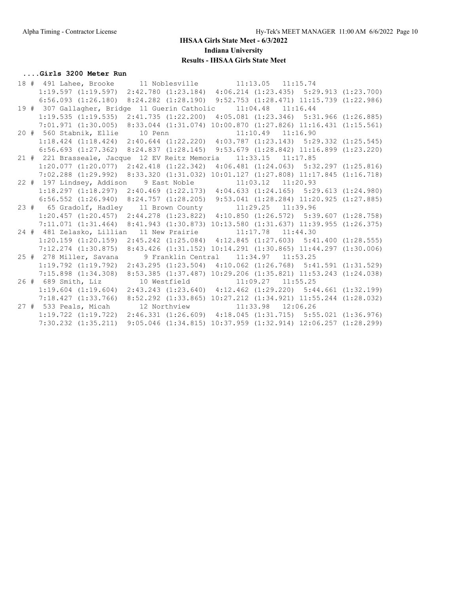#### **....Girls 3200 Meter Run**

|  | 1:19.597 (1:19.597) 2:42.780 (1:23.184) 4:06.214 (1:23.435) 5:29.913 (1:23.700)                   |  |                       |  |
|--|---------------------------------------------------------------------------------------------------|--|-----------------------|--|
|  | 6:56.093 (1:26.180) 8:24.282 (1:28.190) 9:52.753 (1:28.471) 11:15.739 (1:22.986)                  |  |                       |  |
|  | 19 # 307 Gallagher, Bridge 11 Guerin Catholic                                                     |  | $11:04.48$ $11:16.44$ |  |
|  | 1:19.535 (1:19.535) 2:41.735 (1:22.200) 4:05.081 (1:23.346) 5:31.966 (1:26.885)                   |  |                       |  |
|  | 7:01.971 (1:30.005) 8:33.044 (1:31.074) 10:00.870 (1:27.826) 11:16.431 (1:15.561)                 |  |                       |  |
|  | 20 # 560 Stabnik, Ellie 10 Penn                                                                   |  | $11:10.49$ $11:16.90$ |  |
|  | 1:18.424 (1:18.424) 2:40.644 (1:22.220) 4:03.787 (1:23.143) 5:29.332 (1:25.545)                   |  |                       |  |
|  | 6:56.693 (1:27.362) 8:24.837 (1:28.145) 9:53.679 (1:28.842) 11:16.899 (1:23.220)                  |  |                       |  |
|  | 21 # 221 Brasseale, Jacque 12 EV Reitz Memoria                                                    |  | $11:33.15$ $11:17.85$ |  |
|  | $1:20.077$ $(1:20.077)$ $2:42.418$ $(1:22.342)$ $4:06.481$ $(1:24.063)$ $5:32.297$ $(1:25.816)$   |  |                       |  |
|  | $7:02.288$ $(1:29.992)$ $8:33.320$ $(1:31.032)$ $10:01.127$ $(1:27.808)$ $11:17.845$ $(1:16.718)$ |  |                       |  |
|  | 22 # 197 Lindsey, Addison 9 East Noble 11:03.12 11:20.93                                          |  |                       |  |
|  | $1:18.297$ $(1:18.297)$ $2:40.469$ $(1:22.173)$ $4:04.633$ $(1:24.165)$ $5:29.613$ $(1:24.980)$   |  |                       |  |
|  | 6:56.552 (1:26.940) 8:24.757 (1:28.205) 9:53.041 (1:28.284) 11:20.925 (1:27.885)                  |  |                       |  |
|  |                                                                                                   |  |                       |  |
|  | 23 # 65 Gradolf, Hadley 11 Brown County 11:29.25 11:39.96                                         |  |                       |  |
|  | 1:20.457 (1:20.457) 2:44.278 (1:23.822) 4:10.850 (1:26.572) 5:39.607 (1:28.758)                   |  |                       |  |
|  | 7:11.071 (1:31.464) 8:41.943 (1:30.873) 10:13.580 (1:31.637) 11:39.955 (1:26.375)                 |  |                       |  |
|  | 24 # 481 Zelasko, Lillian 11 New Prairie 11:17.78 11:44.30                                        |  |                       |  |
|  | $1:20.159$ $(1:20.159)$ $2:45.242$ $(1:25.084)$ $4:12.845$ $(1:27.603)$ $5:41.400$ $(1:28.555)$   |  |                       |  |
|  | 7:12.274 (1:30.875) 8:43.426 (1:31.152) 10:14.291 (1:30.865) 11:44.297 (1:30.006)                 |  |                       |  |
|  | 25 # 278 Miller, Savana 9 Franklin Central 11:34.97 11:53.25                                      |  |                       |  |
|  | 1:19.792 (1:19.792) 2:43.295 (1:23.504) 4:10.062 (1:26.768) 5:41.591 (1:31.529)                   |  |                       |  |
|  | 7:15.898 (1:34.308) 8:53.385 (1:37.487) 10:29.206 (1:35.821) 11:53.243 (1:24.038)                 |  |                       |  |
|  | 26 # 689 Smith, Liz 10 Westfield 11:09.27 11:55.25                                                |  |                       |  |
|  | $1:19.604$ $(1:19.604)$ $2:43.243$ $(1:23.640)$ $4:12.462$ $(1:29.220)$ $5:44.661$ $(1:32.199)$   |  |                       |  |
|  | 7:18.427 (1:33.766) 8:52.292 (1:33.865) 10:27.212 (1:34.921) 11:55.244 (1:28.032)                 |  |                       |  |
|  | 27 # 533 Peals, Micah 12 Northview 11:33.98 12:06.26                                              |  |                       |  |
|  | $1:19.722$ $(1:19.722)$ $2:46.331$ $(1:26.609)$ $4:18.045$ $(1:31.715)$ $5:55.021$ $(1:36.976)$   |  |                       |  |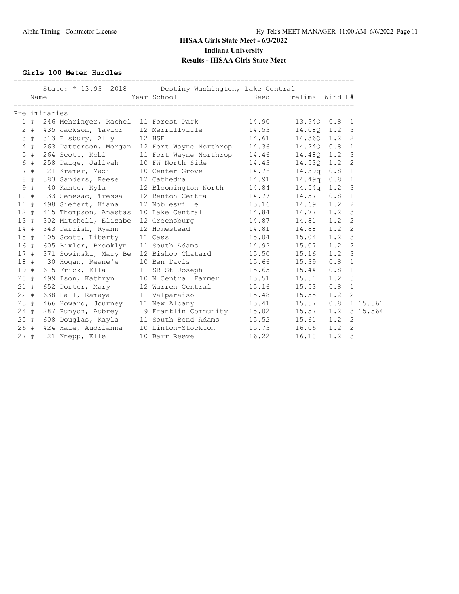**Girls 100 Meter Hurdles**

|        | Name  |               | State: * 13.93 2018                  |        | Destiny Washington, Lake Central<br>Year School | Seed  | Prelims    | Wind H# |                |
|--------|-------|---------------|--------------------------------------|--------|-------------------------------------------------|-------|------------|---------|----------------|
|        |       | Preliminaries |                                      |        |                                                 |       |            |         |                |
|        | 1#    |               | 246 Mehringer, Rachel 11 Forest Park |        |                                                 | 14.90 | 13.940     | 0.8     | -1             |
|        | $2 +$ |               | 435 Jackson, Taylor 12 Merrillville  |        |                                                 | 14.53 | 14.080     | 1.2     | $\overline{3}$ |
|        | 3#    |               | 313 Elsbury, Ally                    | 12 HSE |                                                 | 14.61 | 14.360 1.2 |         | 2              |
|        | 4#    |               |                                      |        | 263 Patterson, Morgan 12 Fort Wayne Northrop    | 14.36 | 14.240     | 0.8     | 1              |
|        | 5#    |               | 264 Scott, Kobi                      |        | 11 Fort Wayne Northrop                          | 14.46 | 14.480 1.2 |         | 3              |
|        | 6 #   |               | 258 Paige, Jaliyah                   |        | 10 FW North Side                                | 14.43 | 14.530     | 1.2     | 2              |
|        | 7#    |               | 121 Kramer, Madi                     |        | 10 Center Grove                                 | 14.76 | 14.39q     | 0.8     | $\mathbf{1}$   |
|        | 8#    |               | 383 Sanders, Reese                   |        | 12 Cathedral                                    | 14.91 | 14.49q     | 0.8     | $\mathbf{1}$   |
| 9      | #     |               | 40 Kante, Kyla                       |        | 12 Bloomington North                            | 14.84 | 14.54q     | 1.2     | 3              |
| 10#    |       |               | 33 Senesac, Tressa                   |        | 12 Benton Central                               | 14.77 | 14.57      | 0.8     | $\mathbf{1}$   |
| 11#    |       |               | 498 Siefert, Kiana                   |        | 12 Noblesville                                  | 15.16 | 14.69      | 1.2     | $\overline{2}$ |
| $12 +$ |       |               | 415 Thompson, Anastas                |        | 10 Lake Central                                 | 14.84 | 14.77      | 1.2     | 3              |
| 13#    |       |               | 302 Mitchell, Elizabe 12 Greensburg  |        |                                                 | 14.87 | 14.81      | 1.2     | 2              |
| 14#    |       |               | 343 Parrish, Ryann                   |        | 12 Homestead                                    | 14.81 | 14.88      | 1.2     | 2              |
| 15#    |       |               | 105 Scott, Liberty                   |        | 11 Cass                                         | 15.04 | 15.04      | 1.2     | 3              |
| 16#    |       |               | 605 Bixler, Brooklyn 11 South Adams  |        |                                                 | 14.92 | 15.07      | 1.2     | 2              |
| 17#    |       |               | 371 Sowinski, Mary Be                |        | 12 Bishop Chatard                               | 15.50 | 15.16      | 1.2     | 3              |
| 18#    |       |               | 30 Hogan, Reane'e                    |        | 10 Ben Davis                                    | 15.66 | 15.39      | 0.8     | 1              |
| 19#    |       |               | 615 Frick, Ella                      |        | 11 SB St Joseph                                 | 15.65 | 15.44      | 0.8     | 1              |
| $20 +$ |       |               | 499 Ison, Kathryn                    |        | 10 N Central Farmer                             | 15.51 | 15.51      | 1.2     | $\overline{3}$ |
| 21#    |       |               | 652 Porter, Mary                     |        | 12 Warren Central                               | 15.16 | 15.53      | 0.8     | 1              |
| $22 +$ |       |               | 638 Hall, Ramaya                     |        | 11 Valparaiso                                   | 15.48 | 15.55      | 1.2     | 2              |
| 23#    |       |               | 466 Howard, Journey                  |        | 11 New Albany                                   | 15.41 | 15.57      | 0.8     | 1 15.561       |
| $24 +$ |       |               | 287 Runyon, Aubrey                   |        | 9 Franklin Community                            | 15.02 | 15.57      | 1.2     | 3 15.564       |
| 25#    |       |               | 608 Douglas, Kayla                   |        | 11 South Bend Adams                             | 15.52 | 15.61      | 1.2     | 2              |
| 26#    |       |               | 424 Hale, Audrianna                  |        | 10 Linton-Stockton                              | 15.73 | 16.06      | 1.2     | 2              |
| 27#    |       |               | 21 Knepp, Elle                       |        | 10 Barr Reeve                                   | 16.22 | 16.10      | 1.2     | 3              |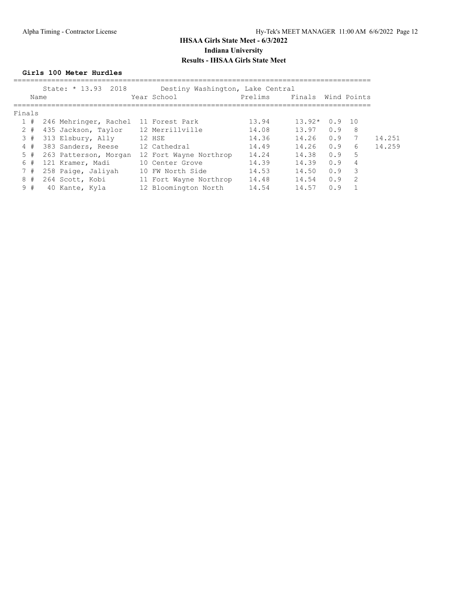#### **Girls 100 Meter Hurdles**

|        |      | State: * 13.93 2018                  | Destiny Washington, Lake Central |         |          |     |                |        |
|--------|------|--------------------------------------|----------------------------------|---------|----------|-----|----------------|--------|
|        | Name |                                      | Year School                      | Prelims | Finals   |     | Wind Points    |        |
| Finals |      |                                      |                                  |         |          |     |                |        |
| 1#     |      | 246 Mehringer, Rachel 11 Forest Park |                                  | 13.94   | $13.92*$ | 0.9 | 10             |        |
| $2 +$  |      | 435 Jackson, Taylor                  | 12 Merrillville                  | 14.08   | 13.97    | 0.9 | 8              |        |
| 3#     |      | 313 Elsbury, Ally                    | 12 HSE                           | 14.36   | 14.26    | 0.9 |                | 14.251 |
| 4#     |      | 383 Sanders, Reese                   | 12 Cathedral                     | 14.49   | 14.26    | 0.9 | 6              | 14.259 |
| 5#     |      | 263 Patterson, Morgan                | 12 Fort Wayne Northrop           | 14.24   | 14.38    | 0.9 | 5              |        |
| 6#     |      | 121 Kramer, Madi                     | 10 Center Grove                  | 14.39   | 14.39    | 0.9 | $\overline{4}$ |        |
| 7#     |      | 258 Paige, Jaliyah                   | 10 FW North Side                 | 14.53   | 14.50    | 0.9 | 3              |        |
| 8      | #    | 264 Scott, Kobi                      | 11 Fort Wayne Northrop           | 14.48   | 14.54    | 0.9 | 2              |        |
| 9#     |      | 40 Kante, Kyla                       | 12 Bloomington North             | 14.54   | 14.57    | 0.9 |                |        |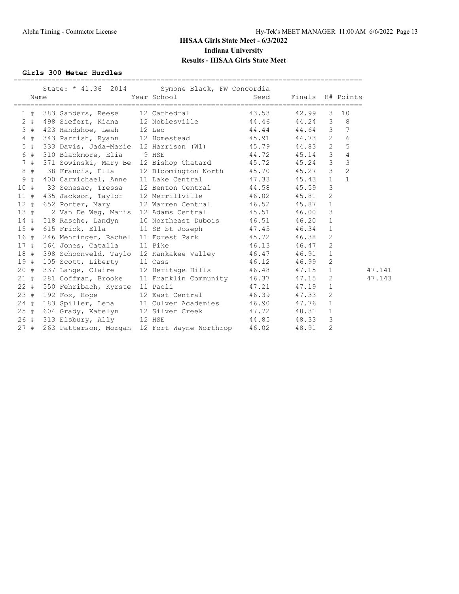#### **Girls 300 Meter Hurdles**

|        | Name |                                | State: * 41.36 2014 Symone Black, FW Concordia<br>Year School Seed Finals H# Points                      |               |           |   |                |
|--------|------|--------------------------------|----------------------------------------------------------------------------------------------------------|---------------|-----------|---|----------------|
| 1#     |      |                                | 383 Sanders, Reese 12 Cathedral 183.53                                                                   |               | 42.99     |   | $3 - 10$       |
| $2 +$  |      |                                | 498 Siefert, Kiana 12 Noblesville 44.46 44.24 3 8<br>423 Handshoe, Leah 12 Leo 44.44 44.64 3 7           |               |           |   |                |
| 3#     |      |                                |                                                                                                          |               |           |   |                |
| 4#     |      |                                | 343 Parrish, Ryann 12 Homestead 45.91 44.73 2                                                            |               |           |   | 6              |
| $5$ #  |      |                                | 333 Davis, Jada-Marie 12 Harrison (W1) 45.79 44.83 2                                                     |               |           |   | 5              |
| 6 #    |      | 310 Blackmore, Elia 9 HSE      |                                                                                                          | 44.72 45.14 3 |           |   | 4              |
| 7#     |      |                                | 371 Sowinski, Mary Be 12 Bishop Chatard 45.72 45.24 3                                                    |               |           |   | $\mathfrak{Z}$ |
| 8#     |      |                                | 38 Francis, Ella 12 Bloomington North 45.70 45.27 3                                                      |               |           |   | $\overline{2}$ |
| 9#     |      |                                | 400 Carmichael, Anne 11 Lake Central 47.33 45.43 1                                                       |               |           |   | $\mathbf{1}$   |
| 10#    |      |                                | 33 Senesac, Tressa 12 Benton Central 144.58 45.59                                                        |               |           | 3 |                |
| 11#    |      |                                | 435 Jackson, Taylor 12 Merrillville 46.02 45.81 2                                                        |               |           |   |                |
| 12#    |      |                                | 652 Porter, Mary 12 Warren Central 46.52 45.87 1                                                         |               |           |   |                |
| 13#    |      |                                | 2 Van De Weg, Maris 12 Adams Central 45.51 46.00 3                                                       |               |           |   |                |
| 14#    |      |                                | 518 Rasche, Landyn 10 Northeast Dubois 46.51 46.20 1                                                     |               |           |   |                |
| 15#    |      |                                | 615 Frick, Ella 11 SB St Joseph 47.45                                                                    |               | 46.34 1   |   |                |
| 16#    |      |                                | 246 Mehringer, Rachel 11 Forest Park 45.72                                                               |               | 46.38     | 2 |                |
| 17#    |      | 564 Jones, Catalla 11 Pike     | 46.13 46.47 2                                                                                            |               |           |   |                |
| 18 #   |      |                                |                                                                                                          |               |           |   |                |
| 19#    |      |                                | 398 Schoonveld, Taylo 12 Kankakee Valley 16.47 16.91 1<br>105 Scott, Liberty 11 Cass 16.12 16.12 16.99 2 |               |           |   |                |
| $20 +$ |      |                                | 337 Lange, Claire 12 Heritage Hills 46.48 47.15<br>281 Coffman, Brooke 11 Franklin Community 46.37 47.15 |               | $47.15$ 1 |   | 47.141         |
| 21#    |      |                                |                                                                                                          |               |           | 2 | 47.143         |
| 22#    |      | 550 Fehribach, Kyrste 11 Paoli |                                                                                                          | 47.21         | $47.19$ 1 |   |                |
| 23#    |      |                                | 192 Fox, Hope 12 East Central 46.39 47.33 2                                                              |               |           |   |                |
| 24#    |      |                                | 183 Spiller, Lena 11 Culver Academies 46.90 47.76 1                                                      |               |           |   |                |
| 25#    |      |                                | 1004 Grady, Katelyn 12 Silver Creek 17.72 48.31 1<br>313 Elsbury, Ally 12 HSE 144.85 48.33 3             |               |           |   |                |
| 26#    |      | 313 Elsbury, Ally 12 HSE       |                                                                                                          |               |           |   |                |
| 27#    |      |                                | 263 Patterson, Morgan 12 Fort Wayne Northrop 46.02                                                       |               | 48.91     | 2 |                |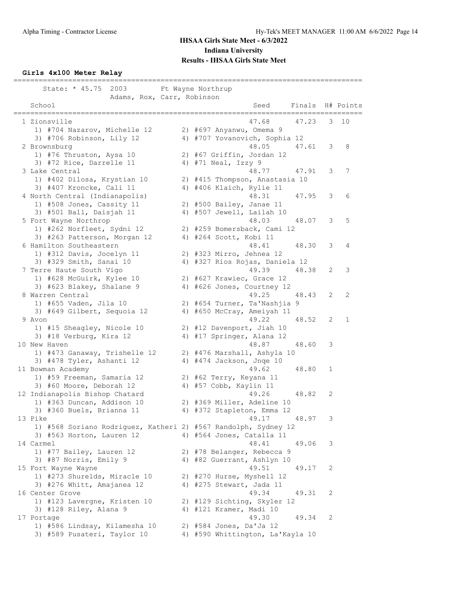#### **Girls 4x100 Meter Relay**

=================================================================================== State: \* 45.75 2003 Ft Wayne Northrup Adams, Rox, Carr, Robinson School Seed Finals H# Points =================================================================================== 1 Zionsville 47.68 47.23 3 10 1) #704 Nazarov, Michelle 12 2) #697 Anyanwu, Omema 9 3) #706 Robinson, Lily 12 4) #707 Yovanovich, Sophia 12 2 Brownsburg 48.05 47.61 3 8 1) #76 Thruston, Aysa 10 2) #67 Griffin, Jordan 12 3) #72 Rice, Darrelle 11  $\qquad \qquad$  4) #71 Neal, Izzy 9 3 Lake Central 48.77 47.91 3 7 1) #402 Dilosa, Krystian 10 2) #415 Thompson, Anastasia 10 3) #407 Kroncke, Cali 11 4) #406 Klaich, Rylie 11 4 North Central (Indianapolis) 48.31 47.95 3 6 1) #508 Jones, Cassity 11 2) #500 Bailey, Janae 11 3) #501 Ball, Daisjah 11 4) #507 Jewell, Lailah 10 5 Fort Wayne Northrop 48.03 48.07 3 5 1) #262 Norfleet, Sydni 12 2) #259 Bomersback, Cami 12 3) #263 Patterson, Morgan 12 4) #264 Scott, Kobi 11 6 Hamilton Southeastern 48.41 48.30 3 4 1) #312 Davis, Jocelyn 11 2) #323 Mirro, Jehnea 12 3) #329 Smith, Sanai 10 4) #327 Rios Rojas, Daniela 12 7 Terre Haute South Vigo 49.39 48.38 2 3 1) #628 McGuirk, Kylee 10 2) #627 Krawiec, Grace 12 3) #623 Blakey, Shalane 9 4) #626 Jones, Courtney 12 8 Warren Central 2008 2009 12:00 12:00 12:00 12:00 13:00 149.25 148.43 2009 1) #655 Vaden, Jila 10 2) #654 Turner, Ta'Nashjia 9 3) #649 Gilbert, Sequoia 12 4) #650 McCray, Ameiyah 11 9 Avon 49.22 48.52 2 1 1) #15 Sheagley, Nicole 10 2) #12 Davenport, Jiah 10 3) #18 Verburg, Kira 12 4) #17 Springer, Alana 12 10 New Haven 48.87 48.60 3 1) #473 Ganaway, Trishelle 12 2) #476 Marshall, Ashyla 10 3) #478 Tyler, Ashanti 12 4) #474 Jackson, Jnqe 10 11 Bowman Academy 49.62 48.80 1 1) #59 Freeman, Samaria 12 2) #62 Terry, Keyana 11 3) #60 Moore, Deborah 12 4) #57 Cobb, Kaylin 11 12 Indianapolis Bishop Chatard 49.26 48.82 2 1) #363 Duncan, Addison 10 2) #369 Miller, Adeline 10 3) #360 Buels, Brianna 11 4) #372 Stapleton, Emma 12 13 Pike 49.17 48.97 3 1) #568 Soriano Rodriguez, Katheri 2) #567 Randolph, Sydney 12 3) #563 Horton, Lauren 12 4) #564 Jones, Catalla 11 14 Carmel 48.41 49.06 3 1) #77 Bailey, Lauren 12 2) #78 Belanger, Rebecca 9 3) #87 Norris, Emily 9 4) #82 Guerrant, Ashlyn 10 15 Fort Wayne Wayne 2012 2022 2023 2024 19:51 2022 2023 2024 19:51 2022 2023 2024 2022 2023 2024 2022 2023 20 1) #273 Shurelds, Miracle 10 2) #270 Hurse, Myshell 12 3) #276 Whitt, Amajanea 12 4) #275 Stewart, Jada 11 16 Center Grove 49.34 49.31 2 1) #123 Lavergne, Kristen 10 2) #129 Sichting, Skyler 12 3) #128 Riley, Alana 9 4) #121 Kramer, Madi 10 17 Portage 49.30 49.34 2 1) #586 Lindsay, Kilamesha 10 2) #584 Jones, Da'Ja 12 3) #589 Pusateri, Taylor 10 4) #590 Whittington, La'Kayla 10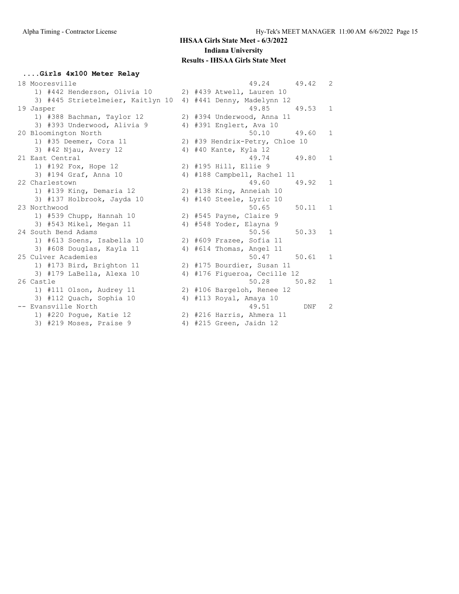#### **....Girls 4x100 Meter Relay**

| 18 Mooresville                    | 49.24<br>49.42                 | $\overline{2}$ |
|-----------------------------------|--------------------------------|----------------|
| 1) #442 Henderson, Olivia 10      | 2) #439 Atwell, Lauren 10      |                |
| 3) #445 Strietelmeier, Kaitlyn 10 | 4) #441 Denny, Madelynn 12     |                |
| 19 Jasper                         | 49.85<br>49.53                 | $\mathbf{1}$   |
| 1) #388 Bachman, Taylor 12        | 2) #394 Underwood, Anna 11     |                |
| 3) #393 Underwood, Alivia 9       | 4) #391 Englert, Ava 10        |                |
| 20 Bloomington North              | 50.10<br>49.60                 | $\mathbf{1}$   |
| 1) #35 Deemer, Cora 11            | 2) #39 Hendrix-Petry, Chloe 10 |                |
| $3)$ #42 Njau, Avery 12           | 4) #40 Kante, Kyla 12          |                |
| 21 East Central                   | 49.74<br>49.80                 | $\mathbf{1}$   |
| 1) #192 Fox, Hope 12              | 2) #195 Hill, Ellie 9          |                |
| 3) #194 Graf, Anna 10             | 4) #188 Campbell, Rachel 11    |                |
| 22 Charlestown                    | 49.60<br>49.92                 | 1              |
| 1) #139 King, Demaria 12          | 2) #138 King, Anneiah 10       |                |
| 3) #137 Holbrook, Jayda 10        | 4) #140 Steele, Lyric 10       |                |
| 23 Northwood                      | 50.65<br>50.11                 | $\mathbf{1}$   |
| 1) #539 Chupp, Hannah 10          | 2) #545 Payne, Claire 9        |                |
| 3) #543 Mikel, Megan 11           | 4) #548 Yoder, Elayna 9        |                |
| 24 South Bend Adams               | 50.56<br>50.33                 | $\mathbf{1}$   |
| 1) #613 Soens, Isabella 10        | 2) #609 Frazee, Sofia 11       |                |
| 3) #608 Douglas, Kayla 11         | 4) #614 Thomas, Angel 11       |                |
| 25 Culver Academies               | 50.47<br>50.61                 | 1              |
| 1) #173 Bird, Brighton 11         | 2) #175 Bourdier, Susan 11     |                |
| 3) #179 LaBella, Alexa 10         | 4) #176 Fiqueroa, Cecille 12   |                |
| 26 Castle                         | 50.28<br>50.82                 | 1              |
| 1) #111 Olson, Audrey 11          | 2) #106 Bargeloh, Renee 12     |                |
| 3) #112 Quach, Sophia 10          | 4) #113 Royal, Amaya 10        |                |
| -- Evansville North               | 49.51<br>DNF                   | $\overline{2}$ |
| 1) #220 Poque, Katie 12           | 2) #216 Harris, Ahmera 11      |                |
| 3) #219 Moses, Praise 9           | 4) #215 Green, Jaidn 12        |                |
|                                   |                                |                |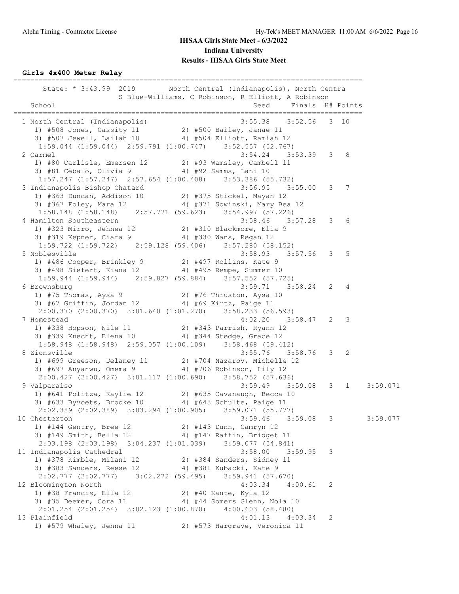**Girls 4x400 Meter Relay**

=================================================================================== State: \* 3:43.99 2019 North Central (Indianapolis), North Centra S Blue-Williams, C Robinson, R Elliott, A Robinson School Seed Finals H# Points =================================================================================== 1 North Central (Indianapolis) 3:55.38 3:52.56 3 10 1) #508 Jones, Cassity 11 2) #500 Bailey, Janae 11 3) #507 Jewell, Lailah 10 4) #504 Elliott, Ramiah 12 1:59.044 (1:59.044) 2:59.791 (1:00.747) 3:52.557 (52.767) 2 Carmel 3:54.24 3:53.39 3 8 1) #80 Carlisle, Emersen 12 2) #93 Wamsley, Cambell 11 3) #81 Cebalo, Olivia 9 4) #92 Samms, Lani 10 1:57.247 (1:57.247) 2:57.654 (1:00.408) 3:53.386 (55.732) 3 Indianapolis Bishop Chatard 3:56.95 3:55.00 3 7 1) #363 Duncan, Addison 10 2) #375 Stickel, Mayan 12 3) #367 Foley, Mara 12 4) #371 Sowinski, Mary Bea 12 1:58.148 (1:58.148) 2:57.771 (59.623) 3:54.997 (57.226) 4 Hamilton Southeastern 3:58.46 3:57.28 3 6 1) #323 Mirro, Jehnea 12 2) #310 Blackmore, Elia 9 3) #319 Kepner, Ciara 9 4) #330 Wans, Regan 12 1:59.722 (1:59.722) 2:59.128 (59.406) 3:57.280 (58.152) 5 Noblesville 3:58.93 3:57.56 3 5 1) #486 Cooper, Brinkley 9 2) #497 Rollins, Kate 9 3) #498 Siefert, Kiana 12 4) #495 Rempe, Summer 10 1:59.944 (1:59.944) 2:59.827 (59.884) 3:57.552 (57.725) 6 Brownsburg 3:59.71 3:58.24 2 4 1) #75 Thomas, Aysa 9 2) #76 Thruston, Aysa 10 3) #67 Griffin, Jordan 12 4) #69 Kirtz, Paige 11 2:00.370 (2:00.370) 3:01.640 (1:01.270) 3:58.233 (56.593) 7 Homestead 4:02.20 3:58.47 2 3 1) #338 Hopson, Nile 11 2) #343 Parrish, Ryann 12 3) #339 Knecht, Elena 10 4) #344 Stedge, Grace 12 1:58.948 (1:58.948) 2:59.057 (1:00.109) 3:58.468 (59.412) 8 Zionsville 3:55.76 3:58.76 3 2 1) #699 Greeson, Delaney 11 2) #704 Nazarov, Michelle 12 3) #697 Anyanwu, Omema 9 4) #706 Robinson, Lily 12 2:00.427 (2:00.427) 3:01.117 (1:00.690) 3:58.752 (57.636) 9 Valparaiso 3:59.49 3:59.08 3 1 3:59.071 1) #641 Politza, Kaylie 12 2) #635 Cavanaugh, Becca 10 3) #633 Byvoets, Brooke 10 4) #643 Schulte, Paige 11 2:02.389 (2:02.389) 3:03.294 (1:00.905) 3:59.071 (55.777)<br>hesterton 3:59.077 3:59.08 3 10 Chesterton 3:59.08 3:59.08 3:59.077 1) #144 Gentry, Bree 12 2) #143 Dunn, Camryn 12 3) #149 Smith, Bella 12 4) #147 Raffin, Bridget 11 2:03.198 (2:03.198) 3:04.237 (1:01.039) 3:59.077 (54.841) 11 Indianapolis Cathedral 3:58.00 3:59.95 3 1) #378 Kimble, Milani 12 2) #384 Sanders, Sidney 11 3) #383 Sanders, Reese 12 4) #381 Kubacki, Kate 9 2:02.777 (2:02.777) 3:02.272 (59.495) 3:59.941 (57.670) 12 Bloomington North 4:03.34 4:00.61 2 1) #38 Francis, Ella 12 2) #40 Kante, Kyla 12 3) #35 Deemer, Cora 11 444 Somers Glenn, Nola 10 2:01.254 (2:01.254) 3:02.123 (1:00.870) 4:00.603 (58.480) 13 Plainfield 4:01.13 4:03.34 2 1) #579 Whaley, Jenna 11 2) #573 Hargrave, Veronica 11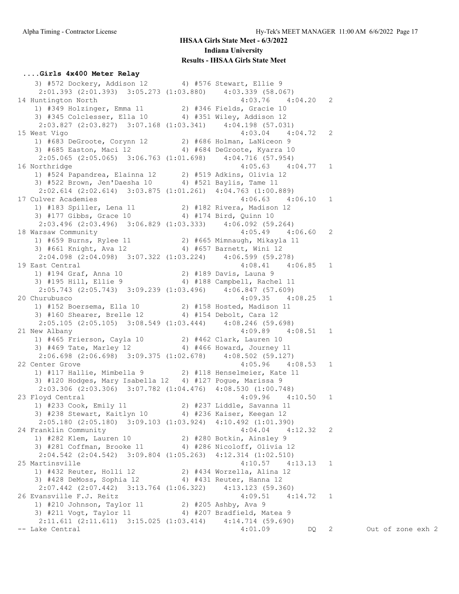#### **....Girls 4x400 Meter Relay**

3) #572 Dockery, Addison 12 4) #576 Stewart, Ellie 9 2:01.393 (2:01.393) 3:05.273 (1:03.880) 4:03.339 (58.067) 14 Huntington North 4:03.76 4:04.20 2 1) #349 Holzinger, Emma 11 2) #346 Fields, Gracie 10 3) #345 Colclesser, Ella 10 4) #351 Wiley, Addison 12 2:03.827 (2:03.827) 3:07.168 (1:03.341) 4:04.198 (57.031) 15 West Vigo 4:03.04 4:04.72 2 1) #683 DeGroote, Corynn 12 2) #686 Holman, LaNiceon 9 3) #685 Easton, Maci 12 4) #684 DeGroote, Kyarra 10 2:05.065 (2:05.065) 3:06.763 (1:01.698) 4:04.716 (57.954) 16 Northridge 4:05.63 4:04.77 1 1) #524 Papandrea, Elainna 12 2) #519 Adkins, Olivia 12 3) #522 Brown, Jen'Daesha 10 4) #521 Baylis, Tame 11 2:02.614 (2:02.614) 3:03.875 (1:01.261) 4:04.763 (1:00.889)<br>17 Culver Academies 4:06.63 4: 17 Culver Academies 4:06.63 4:06.10 1 1) #183 Spiller, Lena 11 2) #182 Rivera, Madison 12 3) #177 Gibbs, Grace 10 4) #174 Bird, Quinn 10 2:03.496 (2:03.496) 3:06.829 (1:03.333) 4:06.092 (59.264) 18 Warsaw Community 4:05.49 4:06.60 2 1) #659 Burns, Rylee 11 2) #665 Mimnaugh, Mikayla 11 3) #661 Knight, Ava 12 4) #657 Barnett, Wini 12 2:04.098 (2:04.098) 3:07.322 (1:03.224) 4:06.599 (59.278) 19 East Central 4:08.41 4:06.85 1 1) #194 Graf, Anna 10 2) #189 Davis, Launa 9 3) #195 Hill, Ellie 9 4) #188 Campbell, Rachel 11 2:05.743 (2:05.743) 3:09.239 (1:03.496) 4:06.847 (57.609) 20 Churubusco 4:09.35 4:08.25 1 1) #152 Boersema, Ella 10 2) #158 Hosted, Madison 11 3) #160 Shearer, Brelle 12 4) #154 Debolt, Cara 12 2:05.105 (2:05.105) 3:08.549 (1:03.444) 4:08.246 (59.698) 21 New Albany 4:09.89 4:08.51 1 1) #465 Frierson, Cayla 10 2) #462 Clark, Lauren 10 3) #469 Tate, Marley 12 4) #466 Howard, Journey 11  $2:06.698$   $(2:06.698)$  3:09.375  $(1:02.678)$  4:08.502 (59.127) 22 Center Grove 4:05.96 4:08.53 1 1) #117 Hallie, Mimbella 9 2) #118 Henselmeier, Kate 11 3) #120 Hodges, Mary Isabella 12 4) #127 Pogue, Marissa 9 2:03.306 (2:03.306) 3:07.782 (1:04.476) 4:08.530 (1:00.748) 23 Floyd Central 4:09.96 4:10.50 1 1) #233 Cook, Emily 11 2) #237 Liddle, Savanna 11 3) #238 Stewart, Kaitlyn 10 4) #236 Kaiser, Keegan 12 2:05.180 (2:05.180) 3:09.103 (1:03.924) 4:10.492 (1:01.390) 24 Franklin Community 4:04.04 4:12.32 2 1) #282 Klem, Lauren 10 2) #280 Botkin, Ainsley 9 3) #281 Coffman, Brooke 11 4) #286 Nicoloff, Olivia 12 2:04.542 (2:04.542) 3:09.804 (1:05.263) 4:12.314 (1:02.510) 25 Martinsville 4:10.57 4:13.13 1 1) #432 Reuter, Holli 12 2) #434 Worzella, Alina 12 3) #428 DeMoss, Sophia 12 4) #431 Reuter, Hanna 12 2:07.442 (2:07.442) 3:13.764 (1:06.322) 4:13.123 (59.360) 26 Evansville F.J. Reitz 4:09.51 4:14.72 1 1) #210 Johnson, Taylor 11 2) #205 Ashby, Ava 9 3) #211 Vogt, Taylor 11 4) #207 Bradfield, Matea 9 2:11.611 (2:11.611) 3:15.025 (1:03.414) 4:14.714 (59.690) -- Lake Central 4:01.09 DQ 2 Out of zone exh 2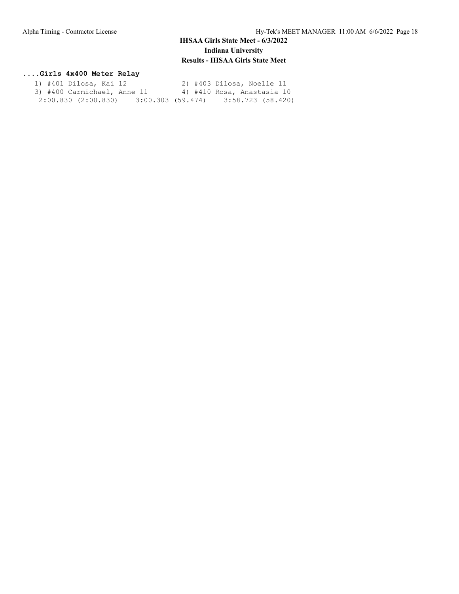#### **....Girls 4x400 Meter Relay**

|  | 1) #401 Dilosa, Kai 12      |  |                   |  | 2) #403 Dilosa, Noelle 11  |                   |  |
|--|-----------------------------|--|-------------------|--|----------------------------|-------------------|--|
|  | 3) #400 Carmichael, Anne 11 |  |                   |  | 4) #410 Rosa, Anastasia 10 |                   |  |
|  | $2:00.830$ $(2:00.830)$     |  | 3:00.303 (59.474) |  |                            | 3:58.723 (58.420) |  |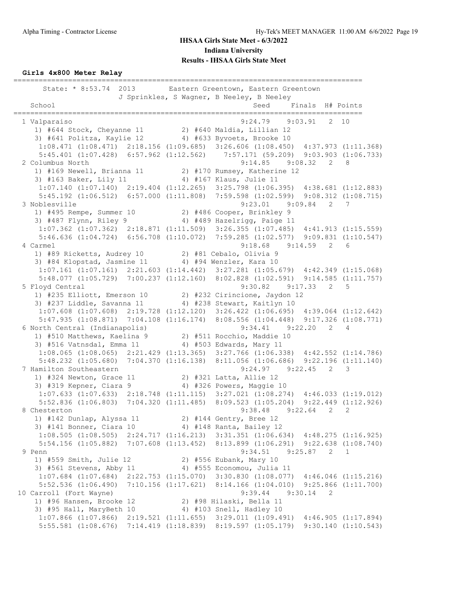**Girls 4x800 Meter Relay**

=================================================================================== State: \* 8:53.74 2013 Eastern Greentown, Eastern Greentown J Sprinkles, S Wagner, B Neeley, B Neeley School School Seed Finals H# Points =================================================================================== 1 Valparaiso 9:24.79 9:03.91 2 10 1) #644 Stock, Cheyanne 11 2) #640 Maldia, Lillian 12 3) #641 Politza, Kaylie 12 4) #633 Byvoets, Brooke 10 1:08.471 (1:08.471) 2:18.156 (1:09.685) 3:26.606 (1:08.450) 4:37.973 (1:11.368) 5:45.401 (1:07.428) 6:57.962 (1:12.562) 7:57.171 (59.209) 9:03.903 (1:06.733) 2 Columbus North 9:14.85 9:08.32 2 8 1) #169 Newell, Brianna 11 2) #170 Rumsey, Katherine 12 3) #163 Baker, Lily 11 4) #167 Klaus, Julie 11 1:07.140 (1:07.140) 2:19.404 (1:12.265) 3:25.798 (1:06.395) 4:38.681 (1:12.883) 5:45.192 (1:06.512) 6:57.000 (1:11.808) 7:59.598 (1:02.599) 9:08.312 (1:08.715) 3 Noblesville 9:23.01 9:09.84 2 7 1) #495 Rempe, Summer 10 2) #486 Cooper, Brinkley 9 3) #487 Flynn, Riley 9 4) #489 Hazelrigg, Paige 11 1:07.362 (1:07.362) 2:18.871 (1:11.509) 3:26.355 (1:07.485) 4:41.913 (1:15.559) 5:46.636 (1:04.724) 6:56.708 (1:10.072) 7:59.285 (1:02.577) 9:09.831 (1:10.547) 4 Carmel 9:18.68 9:14.59 2 6 1) #89 Ricketts, Audrey 10 2) #81 Cebalo, Olivia 9 3) #84 Klopstad, Jasmine 11 4) #94 Wenzler, Kara 10 1:07.161 (1:07.161) 2:21.603 (1:14.442) 3:27.281 (1:05.679) 4:42.349 (1:15.068) 5:48.077 (1:05.729) 7:00.237 (1:12.160) 8:02.828 (1:02.591) 9:14.585 (1:11.757) 5 Floyd Central 9:30.82 9:17.33 2 5 1) #235 Elliott, Emerson 10 2) #232 Cirincione, Jaydon 12 3) #237 Liddle, Savanna 11 4) #238 Stewart, Kaitlyn 10 1:07.608 (1:07.608) 2:19.728 (1:12.120) 3:26.422 (1:06.695) 4:39.064 (1:12.642) 5:47.935 (1:08.871) 7:04.108 (1:16.174) 8:08.556 (1:04.448) 9:17.326 (1:08.771) 6 North Central (Indianapolis) 9:34.41 9:22.20 2 4 1) #510 Matthews, Kaelina 9 2) #511 Rocchio, Maddie 10 3) #516 Vatnsdal, Emma 11 4) #503 Edwards, Mary 11 1:08.065 (1:08.065) 2:21.429 (1:13.365) 3:27.766 (1:06.338) 4:42.552 (1:14.786) 5:48.232 (1:05.680) 7:04.370 (1:16.138) 8:11.056 (1:06.686) 9:22.196 (1:11.140) 7 Hamilton Southeastern 9:24.97 9:22.45 2 3 1) #324 Newton, Grace 11 2) #321 Latta, Allie 12 3) #319 Kepner, Ciara 9 4) #326 Powers, Maggie 10 1:07.633 (1:07.633) 2:18.748 (1:11.115) 3:27.021 (1:08.274) 4:46.033 (1:19.012) 5:52.836 (1:06.803) 7:04.320 (1:11.485) 8:09.523 (1:05.204) 9:22.449 (1:12.926) 8 Chesterton 9:38.48 9:22.64 2 2 1) #142 Dunlap, Alyssa 11 2) #144 Gentry, Bree 12 3) #141 Bonner, Ciara 10 4) #148 Ranta, Bailey 12 1:08.505 (1:08.505) 2:24.717 (1:16.213) 3:31.351 (1:06.634) 4:48.275 (1:16.925) 5:54.156 (1:05.882) 7:07.608 (1:13.452) 8:13.899 (1:06.291) 9:22.638 (1:08.740)<br>Penn 9:25.87 2 1 9 Penn 9:34.51 9:25.87 2 1 1) #559 Smith, Julie 12 2) #556 Eubank, Mary 10 3) #561 Stevens, Abby 11 4) #555 Economou, Julia 11 1:07.684 (1:07.684) 2:22.753 (1:15.070) 3:30.830 (1:08.077) 4:46.046 (1:15.216) 5:52.536 (1:06.490) 7:10.156 (1:17.621) 8:14.166 (1:04.010) 9:25.866 (1:11.700) 10 Carroll (Fort Wayne) 9:39.44 9:30.14 2 1) #96 Hansen, Brooke 12 2) #98 Hilaski, Bella 11 3) #95 Hall, MaryBeth 10 4) #103 Snell, Hadley 10 1:07.866 (1:07.866) 2:19.521 (1:11.655) 3:29.011 (1:09.491) 4:46.905 (1:17.894) 5:55.581 (1:08.676) 7:14.419 (1:18.839) 8:19.597 (1:05.179) 9:30.140 (1:10.543)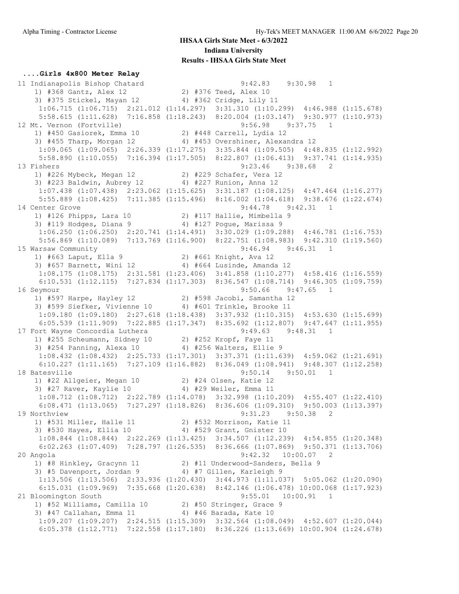#### **....Girls 4x800 Meter Relay**

 11 Indianapolis Bishop Chatard 9:42.83 9:30.98 1 1) #368 Gantz, Alex 12 2) #376 Teed, Alex 10 3) #375 Stickel, Mayan 12 4) #362 Cridge, Lily 11 1:06.715 (1:06.715) 2:21.012 (1:14.297) 3:31.310 (1:10.299) 4:46.988 (1:15.678) 5:58.615 (1:11.628) 7:16.858 (1:18.243) 8:20.004 (1:03.147) 9:30.977 (1:10.973) 12 Mt. Vernon (Fortville) 9:56.98 9:37.75 1 1) #450 Gasiorek, Emma 10 2) #448 Carrell, Lydia 12 3) #455 Tharp, Morgan 12 4) #453 Overshiner, Alexandra 12 1:09.065 (1:09.065) 2:26.339 (1:17.275) 3:35.844 (1:09.505) 4:48.835 (1:12.992) 5:58.890 (1:10.055) 7:16.394 (1:17.505) 8:22.807 (1:06.413) 9:37.741 (1:14.935) 13 Fishers 9:23.46 9:38.68 2 1) #226 Mybeck, Megan 12 2) #229 Schafer, Vera 12 3) #223 Baldwin, Aubrey 12 4) #227 Runion, Anna 12 1:07.438 (1:07.438) 2:23.062 (1:15.625) 3:31.187 (1:08.125) 4:47.464 (1:16.277) 5:55.889 (1:08.425) 7:11.385 (1:15.496) 8:16.002 (1:04.618) 9:38.676 (1:22.674) 14 Center Grove 9:44.78 9:42.31 1 1) #126 Phipps, Lara 10 2) #117 Hallie, Mimbella 9 3) #119 Hodges, Diana 9 4) #127 Pogue, Marissa 9 1:06.250 (1:06.250) 2:20.741 (1:14.491) 3:30.029 (1:09.288) 4:46.781 (1:16.753) 5:56.869 (1:10.089) 7:13.769 (1:16.900) 8:22.751 (1:08.983) 9:42.310 (1:19.560) 15 Warsaw Community 9:46.94 9:46.31 1 1) #663 Laput, Ella 9 2) #661 Knight, Ava 12 3) #657 Barnett, Wini 12 4) #664 Lusinde, Amanda 12 1:08.175 (1:08.175) 2:31.581 (1:23.406) 3:41.858 (1:10.277) 4:58.416 (1:16.559) 6:10.531 (1:12.115) 7:27.834 (1:17.303) 8:36.547 (1:08.714) 9:46.305 (1:09.759) 16 Seymour 9:50.66 9:47.65 1 1) #597 Harpe, Hayley 12 2) #598 Jacobi, Samantha 12 3) #599 Siefker, Vivienne 10 4) #601 Trinkle, Brooke 11 1:09.180 (1:09.180) 2:27.618 (1:18.438) 3:37.932 (1:10.315) 4:53.630 (1:15.699) 6:05.539 (1:11.909) 7:22.885 (1:17.347) 8:35.692 (1:12.807) 9:47.647 (1:11.955) 17 Fort Wayne Concordia Luthera 19:49.63 9:48.31 1 1) #255 Scheumann, Sidney 10 2) #252 Kropf, Faye 11 3) #254 Panning, Alexa 10 4) #256 Walters, Ellie 9 1:08.432 (1:08.432) 2:25.733 (1:17.301) 3:37.371 (1:11.639) 4:59.062 (1:21.691) 6:10.227 (1:11.165) 7:27.109 (1:16.882) 8:36.049 (1:08.941) 9:48.307 (1:12.258) 18 Batesville 9:50.14 9:50.01 1 1) #22 Allgeier, Megan 10 2) #24 Olsen, Katie 12 3) #27 Raver, Kaylie 10 4) #29 Weiler, Emma 11 1:08.712 (1:08.712) 2:22.789 (1:14.078) 3:32.998 (1:10.209) 4:55.407 (1:22.410) 6:08.471 (1:13.065) 7:27.297 (1:18.826) 8:36.606 (1:09.310) 9:50.003 (1:13.397) 19 Northview 9:31.23 9:50.38 2 1) #531 Miller, Halle 11 2) #532 Morrison, Katie 11 3) #530 Hayes, Ellia 10 4) #529 Grant, Gnister 10 1:08.844 (1:08.844) 2:22.269 (1:13.425) 3:34.507 (1:12.239) 4:54.855 (1:20.348) 6:02.263 (1:07.409) 7:28.797 (1:26.535) 8:36.666 (1:07.869) 9:50.371 (1:13.706)<br>9:42.32 10:00.07 2 20 Angola 9:42.32 10:00.07 2 1) #8 Hinkley, Gracynn 11 2) #11 Underwood-Sanders, Bella 9 3) #5 Davenport, Jordan 9 4) #7 Gillen, Karleigh 9 1:13.506 (1:13.506) 2:33.936 (1:20.430) 3:44.973 (1:11.037) 5:05.062 (1:20.090) 6:15.031 (1:09.969) 7:35.668 (1:20.638) 8:42.146 (1:06.478) 10:00.068 (1:17.923) 21 Bloomington South 9:55.01 10:00.91 1 1) #52 Williams, Camilla 10 2) #50 Stringer, Grace 9 3) #47 Callahan, Emma 11 4) #46 Barada, Kate 10 1:09.207 (1:09.207) 2:24.515 (1:15.309) 3:32.564 (1:08.049) 4:52.607 (1:20.044) 6:05.378 (1:12.771) 7:22.558 (1:17.180) 8:36.226 (1:13.669) 10:00.904 (1:24.678)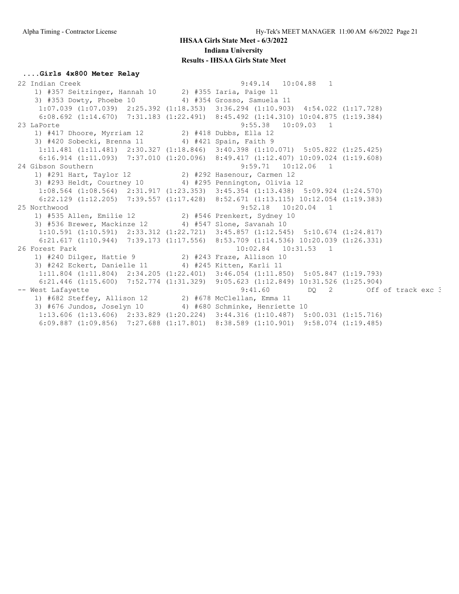#### **....Girls 4x800 Meter Relay**

 22 Indian Creek 9:49.14 10:04.88 1 1) #357 Seitzinger, Hannah 10 2) #355 Iaria, Paige 11 3) #353 Dowty, Phoebe 10 4) #354 Grosso, Samuela 11 1:07.039 (1:07.039) 2:25.392 (1:18.353) 3:36.294 (1:10.903) 4:54.022 (1:17.728) 6:08.692 (1:14.670) 7:31.183 (1:22.491) 8:45.492 (1:14.310) 10:04.875 (1:19.384) 23 LaPorte 9:55.38 10:09.03 1 1) #417 Dhoore, Myrriam 12 2) #418 Dubbs, Ella 12 3) #420 Sobecki, Brenna 11 4) #421 Spain, Faith 9 1:11.481 (1:11.481) 2:30.327 (1:18.846) 3:40.398 (1:10.071) 5:05.822 (1:25.425) 6:16.914 (1:11.093) 7:37.010 (1:20.096) 8:49.417 (1:12.407) 10:09.024 (1:19.608) 24 Gibson Southern 9:59.71 10:12.06 1 1) #291 Hart, Taylor 12 2) #292 Hasenour, Carmen 12 3) #293 Heldt, Courtney 10 4) #295 Pennington, Olivia 12 1:08.564 (1:08.564) 2:31.917 (1:23.353) 3:45.354 (1:13.438) 5:09.924 (1:24.570) 6:22.129 (1:12.205) 7:39.557 (1:17.428) 8:52.671 (1:13.115) 10:12.054 (1:19.383) 25 Northwood 9:52.18 10:20.04 1 1) #535 Allen, Emilie 12 2) #546 Prenkert, Sydney 10 3) #536 Brewer, Mackinze 12 4) #547 Slone, Savanah 10 1:10.591 (1:10.591) 2:33.312 (1:22.721) 3:45.857 (1:12.545) 5:10.674 (1:24.817) 6:21.617 (1:10.944) 7:39.173 (1:17.556) 8:53.709 (1:14.536) 10:20.039 (1:26.331) 26 Forest Park 10:02.84 10:31.53 1 1) #240 Dilger, Hattie 9 2) #243 Fraze, Allison 10 3) #242 Eckert, Danielle 11 4) #245 Kitten, Karli 11 1:11.804 (1:11.804) 2:34.205 (1:22.401) 3:46.054 (1:11.850) 5:05.847 (1:19.793) 6:21.446 (1:15.600) 7:52.774 (1:31.329) 9:05.623 (1:12.849) 10:31.526 (1:25.904) -- West Lafayette  $9:41.60$  DQ 2 Off of track exc 3 1) #682 Steffey, Allison 12 2) #678 McClellan, Emma 11 3) #676 Jundos, Joselyn 10 4) #680 Schminke, Henriette 10 1:13.606 (1:13.606) 2:33.829 (1:20.224) 3:44.316 (1:10.487) 5:00.031 (1:15.716) 6:09.887 (1:09.856) 7:27.688 (1:17.801) 8:38.589 (1:10.901) 9:58.074 (1:19.485)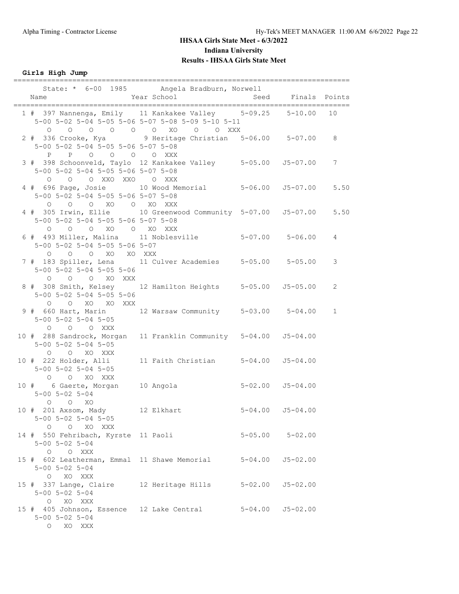**Girls High Jump**

| Name                                                                                                                                 | State: * 6-00 1985 Angela Bradburn, Norwell<br>Year School | Seed Finals Points<br>_______ |              |
|--------------------------------------------------------------------------------------------------------------------------------------|------------------------------------------------------------|-------------------------------|--------------|
| 1 # 397 Nannenga, Emily 11 Kankakee Valley 5-09.25 5-10.00 10<br>5-00 5-02 5-04 5-05 5-06 5-07 5-08 5-09 5-10 5-11<br>$\Omega$       | 0 0 0 0 0 0 XO 0 0 XXX                                     |                               |              |
| 5-00 5-02 5-04 5-05 5-06 5-07 5-08<br>P P O O O O XXX                                                                                |                                                            |                               |              |
| 3 # 398 Schoonveld, Taylo 12 Kankakee Valley 5-05.00 J5-07.00<br>5-00 5-02 5-04 5-05 5-06 5-07 5-08<br>O O XXO XXO O XXX<br>$\Omega$ |                                                            |                               | 7            |
| 4 # 696 Page, Josie 10 Wood Memorial 5-06.00 55-07.00<br>5-00 5-02 5-04 5-05 5-06 5-07 5-08<br>0 0 0 XO 0 XO XXX                     |                                                            |                               | 5.50         |
| 4 # 305 Irwin, Ellie 10 Greenwood Community 5-07.00 55-07.00 5.50<br>5-00 5-02 5-04 5-05 5-06 5-07 5-08<br>O O O XO O XO XXX         |                                                            |                               |              |
| 6 # 493 Miller, Malina 11 Noblesville 5-07.00 5-06.00<br>5-00 5-02 5-04 5-05 5-06 5-07<br>O O O XO XO XXX                            |                                                            |                               | 4            |
| 7 # 183 Spiller, Lena 11 Culver Academies 5-05.00 5-05.00<br>$5-00$ $5-02$ $5-04$ $5-05$ $5-06$<br>O O O XO XXX                      |                                                            |                               | 3            |
| 8 # 308 Smith, Kelsey 12 Hamilton Heights 5-05.00 J5-05.00<br>$5-00$ $5-02$ $5-04$ $5-05$ $5-06$<br>O O XO XO XXX                    |                                                            |                               | 2            |
| 9 # 660 Hart, Marin 12 Warsaw Community 5-03.00 5-04.00<br>$5 - 00$ $5 - 02$ $5 - 04$ $5 - 05$<br>O O O XXX                          |                                                            |                               | $\mathbf{1}$ |
| 10 # 288 Sandrock, Morgan 11 Franklin Community 5-04.00 J5-04.00<br>5-00 5-02 5-04 5-05<br>O O XO XXX                                |                                                            |                               |              |
| 10 # 222 Holder, Alli 11 Faith Christian 5-04.00 J5-04.00<br>$5 - 00$ $5 - 02$ $5 - 04$ $5 - 05$<br>O O XO XXX                       |                                                            |                               |              |
| 10 # 6 Gaerte, Morgan 10 Angola  5-02.00 J5-04.00<br>$5 - 00$ $5 - 02$ $5 - 04$<br>$O$ $O$ $XO$                                      |                                                            |                               |              |
| 10 # 201 Axsom, Mady 12 Elkhart<br>$5 - 00$ $5 - 02$ $5 - 04$ $5 - 05$<br>O O XO XXX                                                 |                                                            | $5 - 04.00$ $J5 - 04.00$      |              |
| 14 # 550 Fehribach, Kyrste 11 Paoli<br>$5 - 00$ $5 - 02$ $5 - 04$<br>O O XXX                                                         |                                                            | $5 - 05.00$ $5 - 02.00$       |              |
| 15 # 602 Leatherman, Emmal 11 Shawe Memorial 5-04.00<br>$5 - 00$ $5 - 02$ $5 - 04$<br>O XO XXX                                       |                                                            | $J5 - 02.00$                  |              |
| 15 # 337 Lange, Claire 12 Heritage Hills 5-02.00 J5-02.00<br>$5 - 00$ $5 - 02$ $5 - 04$<br>O XO XXX                                  |                                                            |                               |              |
| 15 # 405 Johnson, Essence 12 Lake Central 5-04.00 J5-02.00<br>$5 - 00$ $5 - 02$ $5 - 04$<br>XO XXX<br>$\circ$                        |                                                            |                               |              |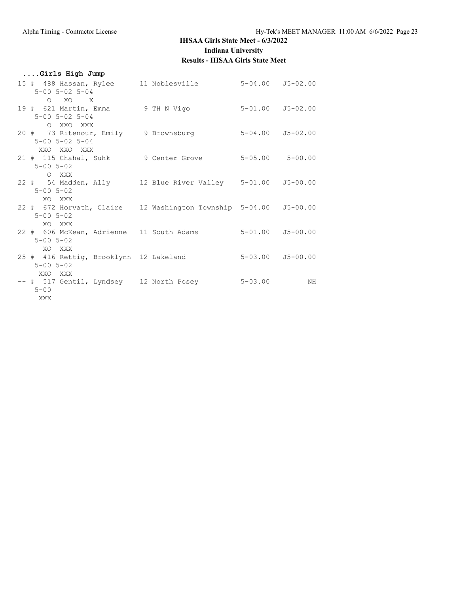| Girls High Jump                                                                                   |                      |    |
|---------------------------------------------------------------------------------------------------|----------------------|----|
| 15 # 488 Hassan, Rylee 11 Noblesville 5-04.00 J5-02.00<br>$5 - 00$ $5 - 02$ $5 - 04$              |                      |    |
| $O$ XO X<br>19 # 621 Martin, Emma 9 TH N Vigo 5-01.00 J5-02.00<br>$5 - 00$ $5 - 02$ $5 - 04$      |                      |    |
| O XXO XXX<br>20 # 73 Ritenour, Emily 9 Brownsburg 5-04.00 J5-02.00                                |                      |    |
| $5 - 00$ $5 - 02$ $5 - 04$<br>XXO XXO XXX<br>21 # 115 Chahal, Suhk 9 Center Grove 5-05.00 5-00.00 |                      |    |
| $5 - 00$ $5 - 02$<br>O XXX<br>22 # 54 Madden, Ally 12 Blue River Valley 5-01.00 J5-00.00          |                      |    |
| $5 - 00$ $5 - 02$<br>XO XXX<br>22 # 672 Horvath, Claire 12 Washington Township 5-04.00 J5-00.00   |                      |    |
| $5 - 00$ $5 - 02$<br>XO XXX<br>22 # 606 McKean, Adrienne 11 South Adams 5-01.00 J5-00.00          |                      |    |
| $5 - 00$ $5 - 02$<br>XO XXX                                                                       |                      |    |
| 25 # 416 Rettig, Brooklynn 12 Lakeland<br>$5 - 00$ $5 - 02$<br>XXO XXX                            | $5-03.00$ $J5-00.00$ |    |
| -- # 517 Gentil, Lyndsey 12 North Posey 5-03.00<br>$5 - 00$<br>XXX X                              |                      | NH |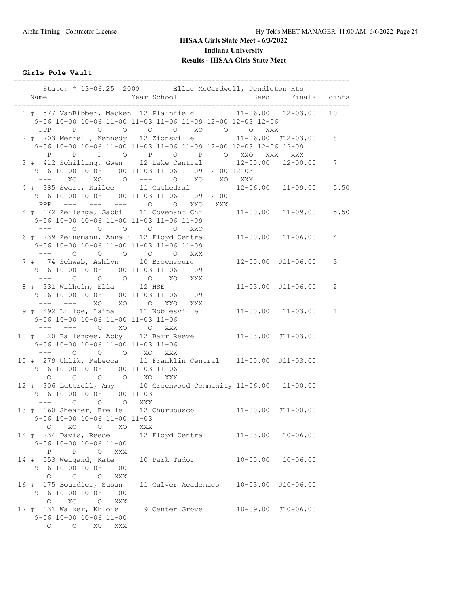**Girls Pole Vault**

| Name                                                                                                                                                                                                                                                                                                                                                                                                                                                 | State: * 13-06.25 2009 Ellie McCardwell, Pendleton Hts<br>Year School                                                                     | Seed                   |                                   | Finals Points |
|------------------------------------------------------------------------------------------------------------------------------------------------------------------------------------------------------------------------------------------------------------------------------------------------------------------------------------------------------------------------------------------------------------------------------------------------------|-------------------------------------------------------------------------------------------------------------------------------------------|------------------------|-----------------------------------|---------------|
| PPP                                                                                                                                                                                                                                                                                                                                                                                                                                                  | 1 # 577 VanBibber, Macken 12 Plainfield 11-06.00 12-03.00<br>9-06 10-00 10-06 11-00 11-03 11-06 11-09 12-00 12-03 12-06<br>P 0 0 0 0 XO 0 | $\circ$<br>XXX         |                                   | 10            |
|                                                                                                                                                                                                                                                                                                                                                                                                                                                      | 2 # 703 Merrell, Kennedy 12 Zionsville<br>9-06 10-00 10-06 11-00 11-03 11-06 11-09 12-00 12-03 12-06 12-09<br>P P P O P O P O XXO XXX     |                        | $11 - 06.00$ $J12 - 03.00$<br>XXX | 8             |
| $\frac{1}{2} \frac{1}{2} \frac{1}{2} \frac{1}{2} \frac{1}{2} \frac{1}{2} \frac{1}{2} \frac{1}{2} \frac{1}{2} \frac{1}{2} \frac{1}{2} \frac{1}{2} \frac{1}{2} \frac{1}{2} \frac{1}{2} \frac{1}{2} \frac{1}{2} \frac{1}{2} \frac{1}{2} \frac{1}{2} \frac{1}{2} \frac{1}{2} \frac{1}{2} \frac{1}{2} \frac{1}{2} \frac{1}{2} \frac{1}{2} \frac{1}{2} \frac{1}{2} \frac{1}{2} \frac{1}{2} \frac{$<br>XO                                                   | 3 # 412 Schilling, Gwen 12 Lake Central 12-00.00 12-00.00<br>9-06 10-00 10-06 11-00 11-03 11-06 11-09 12-00 12-03<br>XO O --- O XO XO XXX |                        |                                   | 7             |
|                                                                                                                                                                                                                                                                                                                                                                                                                                                      | 4 # 385 Swart, Kailee 11 Cathedral 12-06.00 11-09.00<br>9-06 10-00 10-06 11-00 11-03 11-06 11-09 12-00<br>PPP --- --- --- 0 0 XXO XXX     |                        |                                   | 5.50          |
| 9-06 10-00 10-06 11-00 11-03 11-06 11-09<br>$\frac{1}{2} \frac{1}{2} \frac{1}{2} \frac{1}{2} \frac{1}{2} \frac{1}{2} \frac{1}{2} \frac{1}{2} \frac{1}{2} \frac{1}{2} \frac{1}{2} \frac{1}{2} \frac{1}{2} \frac{1}{2} \frac{1}{2} \frac{1}{2} \frac{1}{2} \frac{1}{2} \frac{1}{2} \frac{1}{2} \frac{1}{2} \frac{1}{2} \frac{1}{2} \frac{1}{2} \frac{1}{2} \frac{1}{2} \frac{1}{2} \frac{1}{2} \frac{1}{2} \frac{1}{2} \frac{1}{2} \frac{$<br>$\Omega$ | 4 # 172 Zeilenga, Gabbi 11 Covenant Chr 11-00.00 11-09.00<br>$\begin{matrix} 0 & 0 & 0 & 0 \end{matrix}$<br>XXO                           |                        |                                   | 5.50          |
| 9-06 10-00 10-06 11-00 11-03 11-06 11-09<br>$--- 0 0 0 0 0 0 0 0 0$                                                                                                                                                                                                                                                                                                                                                                                  | 6 # 239 Zeinemann, Annali 12 Floyd Central                                                                                                |                        | $11 - 00.00$ $11 - 06.00$         | 4             |
| 7 # 74 Schwab, Ashlyn 10 Brownsburg<br>9-06 10-00 10-06 11-00 11-03 11-06 11-09<br>--- 0 0 0 0 XO XXX                                                                                                                                                                                                                                                                                                                                                |                                                                                                                                           |                        | $12 - 00.00$ $J11 - 06.00$        | 3             |
| 8 # 331 Wilhelm, Ella 12 HSE<br>9-06 10-00 10-06 11-00 11-03 11-06 11-09<br>--- --- XO XO O XXO XXX                                                                                                                                                                                                                                                                                                                                                  |                                                                                                                                           |                        | $11 - 03.00$ $J11 - 06.00$        | 2             |
| 9 # 492 Lillge, Laina 11 Noblesville<br>9-06 10-00 10-06 11-00 11-03 11-06<br>--- --- 0 XO 0                                                                                                                                                                                                                                                                                                                                                         | XXX                                                                                                                                       |                        | $11 - 00.00$ $11 - 03.00$         | $\mathbf{1}$  |
| 10 # 20 Ballengee, Abby 12 Barr Reeve<br>9-06 10-00 10-06 11-00 11-03 11-06<br>$---$ 0                                                                                                                                                                                                                                                                                                                                                               | O O XO XXX                                                                                                                                | $11-03.00$ $J11-03.00$ |                                   |               |
| 9-06 10-00 10-06 11-00 11-03 11-06<br>$\circ$<br>$\overline{O}$                                                                                                                                                                                                                                                                                                                                                                                      | 10 # 279 Uhlik, Rebecca 11 Franklin Central 11-00.00 J11-03.00<br>O O XO XXX                                                              |                        |                                   |               |
| 9-06 10-00 10-06 11-00 11-03                                                                                                                                                                                                                                                                                                                                                                                                                         | 12 # 306 Luttrell, Amy 10 Greenwood Community 11-06.00 11-00.00                                                                           |                        |                                   |               |
| --- 0 0 0 XXX<br>13 # 160 Shearer, Brelle 12 Churubusco<br>9-06 10-00 10-06 11-00 11-03<br>$\circ$<br>XO<br>XO<br>$\circ$                                                                                                                                                                                                                                                                                                                            | XXX                                                                                                                                       | 11-00.00 J11-00.00     |                                   |               |
| 14 # 234 Davis, Reece<br>$9-06$ 10-00 10-06 11-00<br>$\mathbb{P}$<br>P<br>O XXX                                                                                                                                                                                                                                                                                                                                                                      | 12 Floyd Central                                                                                                                          | $11 - 03.00$           | $10 - 06.00$                      |               |
| 14 # 553 Weigand, Kate<br>9-06 10-00 10-06 11-00<br>$\overline{O}$<br>$\circ$<br>$\overline{O}$<br>XXX                                                                                                                                                                                                                                                                                                                                               | 10 Park Tudor                                                                                                                             | $10 - 00.00$           | $10 - 06.00$                      |               |
| 16 # 175 Bourdier, Susan<br>9-06 10-00 10-06 11-00<br>$O$ XO<br>O XXX                                                                                                                                                                                                                                                                                                                                                                                | 11 Culver Academies                                                                                                                       |                        | 10-03.00 J10-06.00                |               |
| 17 # 131 Walker, Khloie<br>9-06 10-00 10-06 11-00<br>$\circ$ $\circ$<br>XO<br>XXX                                                                                                                                                                                                                                                                                                                                                                    | 9 Center Grove                                                                                                                            |                        | 10-09.00 J10-06.00                |               |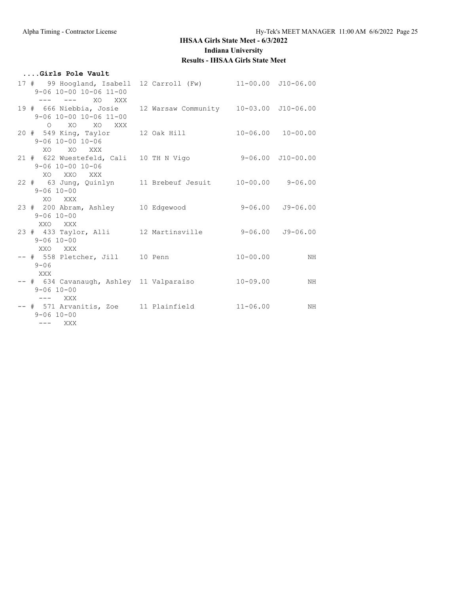#### **....Girls Pole Vault** 17 # 99 Hoogland, Isabell 12 Carroll (Fw) 11-00.00 J10-06.00 9-06 10-00 10-06 11-00 --- --- XO XXX 19 # 666 Niebbia, Josie 12 Warsaw Community 10-03.00 J10-06.00 9-06 10-00 10-06 11-00 O XO XO XXX 20 # 549 King, Taylor 12 Oak Hill 10-06.00 10-00.00 9-06 10-00 10-06 XO XO XXX 21 # 622 Wuestefeld, Cali 10 TH N Vigo 9-06.00 J10-00.00 9-06 10-00 10-06 XO XXO XXX 22 # 63 Jung, Quinlyn 11 Brebeuf Jesuit 10-00.00 9-06.00 9-06 10-00 XO XXX 23 # 200 Abram, Ashley 10 Edgewood 9-06.00 J9-06.00 9-06 10-00 XXO XXX 23 # 433 Taylor, Alli 12 Martinsville 9-06.00 J9-06.00 9-06 10-00 XXO XXX -- # 558 Pletcher, Jill 10 Penn 10-00.00 NH 9-06 XXX -- # 634 Cavanaugh, Ashley 11 Valparaiso 10-09.00 MH 9-06 10-00 --- XXX -- # 571 Arvanitis, Zoe 11 Plainfield 11-06.00 MH 9-06 10-00 --- XXX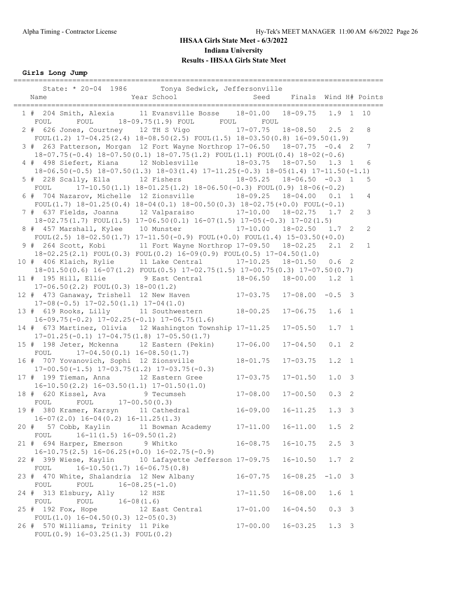**Girls Long Jump**

| State: * 20-04 1986 Tonya Sedwick, Jeffersonville                                                                                                             | ===============              |                              |                  |                |
|---------------------------------------------------------------------------------------------------------------------------------------------------------------|------------------------------|------------------------------|------------------|----------------|
| 1 # 204 Smith, Alexia 11 Evansville Bosse 18-01.00 18-09.75 1.9 1<br>FOUL FOUL 18-09.75(1.9) FOUL FOUL FOUL                                                   |                              |                              |                  | 10             |
| 2 # 626 Jones, Courtney 12 TH S Vigo 17-07.75 18-08.50 2.5 2<br>FOUL $(1.2)$ 17-04.25 $(2.4)$ 18-08.50 $(2.5)$ FOUL $(1.5)$ 18-03.50 $(0.8)$ 16-09.50 $(1.9)$ |                              |                              |                  | 8              |
| 3 # 263 Patterson, Morgan 12 Fort Wayne Northrop 17-06.50 18-07.75 -0.4 2<br>18-07.75 (-0.4) 18-07.50 (0.1) 18-07.75 (1.2) FOUL (1.1) FOUL (0.4) 18-02 (-0.6) |                              |                              |                  | 7              |
| 4 # 498 Siefert, Kiana 12 Noblesville 18-03.75 18-07.50 1.3 1<br>$18-06.50 (-0.5) 18-07.50 (1.3) 18-03 (1.4) 17-11.25 (-0.3) 18-05 (1.4) 17-11.50 (-1.1)$     |                              |                              |                  | 6              |
| 5 # 228 Scally, Ella 12 Fishers 18-05.25 18-06.50 -0.3 1<br>FOUL 17-10.50(1.1) $18-01.25(1.2)$ $18-06.50(-0.3)$ FOUL(0.9) $18-06(-0.2)$                       |                              |                              |                  | 5              |
| 6 # 704 Nazarov, Michelle 12 Zionsville 18-09.25 18-04.00 0.1 1<br>FOUL(1.7) $18-01.25(0.4)$ $18-04(0.1)$ $18-00.50(0.3)$ $18-02.75(+0.0)$ FOUL(-0.1)         |                              |                              |                  | 4              |
| 7 # 637 Fields, Joanna 12 Valparaiso 17-10.00 18-02.75 1.7 2<br>$18-02.75(1.7)$ FOUL $(1.5)$ $17-06.50(0.1)$ $16-07(1.5)$ $17-05(-0.3)$ $17-02(1.5)$          |                              |                              |                  | $\mathfrak{Z}$ |
| 8 # 457 Marshall, Kylee 10 Munster 17-10.00 18-02.50 1.7 2<br>FOUL $(2.5)$ 18-02.50 $(1.7)$ 17-11.50 $(-0.9)$ FOUL $(+0.0)$ FOUL $(1.4)$ 15-03.50 $(+0.0)$    |                              |                              |                  | $\mathbf{2}$   |
| 9 # 264 Scott, Kobi 11 Fort Wayne Northrop 17-09.50 18-02.25<br>$18-02.25(2.1)$ FOUL $(0.3)$ FOUL $(0.2)$ $16-09(0.9)$ FOUL $(0.5)$ $17-04.50(1.0)$           |                              |                              | $2.1 \quad 2$    | $\mathbf{1}$   |
| 10 # 406 Klaich, Rylie 11 Lake Central 17-10.25 18-01.50 0.6 2<br>$18-01.50(0.6)$ $16-07(1.2)$ $FOUL(0.5)$ $17-02.75(1.5)$ $17-00.75(0.3)$ $17-07.50(0.7)$    |                              |                              |                  |                |
| 11 # 195 Hill, Ellie 9 East Central 18-06.50 18-00.00 1.2 1<br>$17-06.50(2.2)$ FOUL $(0.3)$ $18-00(1.2)$                                                      |                              |                              |                  |                |
| 12 # 473 Ganaway, Trishell 12 New Haven 17-03.75<br>$17-08(-0.5)$ $17-02.50(1.1)$ $17-04(1.0)$                                                                |                              | $17-08.00 -0.5$ 3            |                  |                |
| 13 # 619 Rooks, Lilly 11 Southwestern 18-00.25<br>$16-09.75(-0.2)$ $17-02.25(-0.1)$ $17-06.75(1.6)$                                                           |                              | $17 - 06.75$                 | 1.6 <sub>1</sub> |                |
| 14 # 673 Martinez, Olivia 12 Washington Township 17-11.25<br>$17-01.25(-0.1)$ $17-04.75(1.8)$ $17-05.50(1.7)$                                                 |                              | $17 - 05.50$                 | $1.7 \quad 1$    |                |
| 15 # 198 Jeter, Mckenna 12 Eastern (Pekin) 17-06.00<br>FOUL $17-04.50(0.1) 16-08.50(1.7)$                                                                     |                              | $17 - 04.50$                 | $0.1 \quad 2$    |                |
| 16 # 707 Yovanovich, Sophi 12 Zionsville<br>$17-00.50(-1.5)$ $17-03.75(1.2)$ $17-03.75(-0.3)$<br>17 # 199 Tieman, Anna 12 Eastern Gree                        | $18 - 01.75$                 | $17 - 03.75$                 | $1.2 \quad 1$    |                |
| $16-10.50(2.2)$ $16-03.50(1.1)$ $17-01.50(1.0)$<br>18 # 620 Kissel, Ava 9 Tecumseh                                                                            | $17 - 03.75$<br>$17 - 08.00$ | $17 - 01.50$<br>$17 - 00.50$ | 1.0 3<br>0.32    |                |
| FOUL FOUL 17-00.50(0.3)<br>19 # 380 Kramer, Karsyn 11 Cathedral                                                                                               | $16 - 09.00$                 | $16 - 11.25$                 | 1.3 <sup>3</sup> |                |
| $16-07(2.0)$ $16-04(0.2)$ $16-11.25(1.3)$<br>20 # 57 Cobb, Kaylin 11 Bowman Academy                                                                           | $17 - 11.00$                 | $16 - 11.00$                 | $1.5 \quad 2$    |                |
| $16-11(1.5)$ $16-09.50(1.2)$<br>FOUL<br>21 # 694 Harper, Emerson 9 Whitko                                                                                     | $16 - 08.75$                 | $16 - 10.75$                 | $2.5 \quad 3$    |                |
| $16-10.75(2.5)$ $16-06.25(+0.0)$ $16-02.75(-0.9)$<br>22 # 399 Wiese, Kaylin 10 Lafayette Jefferson 17-09.75                                                   |                              | $16 - 10.50$                 | $1.7-2$          |                |
| $16-10.50(1.7) 16-06.75(0.8)$<br>FOUL<br>23 # 470 White, Shalandria 12 New Albany                                                                             | $16 - 07.75$                 | $16 - 08.25$                 | $-1.0$ 3         |                |
| FOUL<br>$16 - 08.25(-1.0)$<br>FOUL<br>24 # 313 Elsbury, Ally<br>12 HSE                                                                                        | $17 - 11.50$                 | $16 - 08.00$                 | 1.6 <sub>1</sub> |                |
| FOUL<br>FOUL $16-08(1.6)$<br>25 # 192 Fox, Hope<br>12 East Central                                                                                            | $17 - 01.00$                 | $16 - 04.50$                 | 0.33             |                |
| FOUL $(1.0)$ 16-04.50 $(0.3)$ 12-05 $(0.3)$<br>26 # 570 Williams, Trinity 11 Pike                                                                             | $17 - 00.00$                 | $16 - 03.25$                 | $1.3 \quad 3$    |                |
| FOUL $(0.9)$ 16-03.25 $(1.3)$ FOUL $(0.2)$                                                                                                                    |                              |                              |                  |                |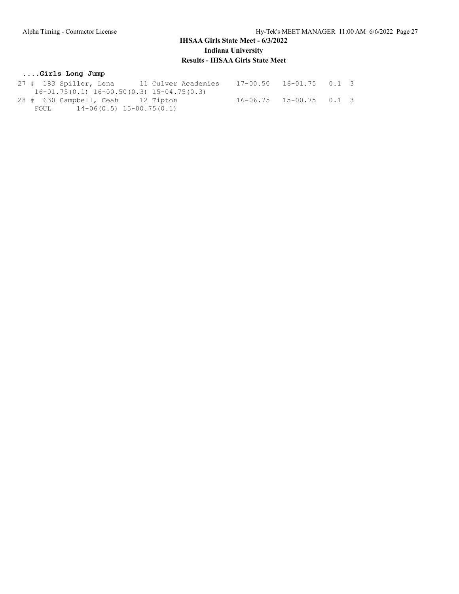#### **....Girls Long Jump**

|      | 27 # 183 Spiller, Lena            | 11 Culver Academies                             | $17-00.50$ $16-01.75$ 0.1 3 |  |
|------|-----------------------------------|-------------------------------------------------|-----------------------------|--|
|      |                                   | $16-01.75(0.1)$ $16-00.50(0.3)$ $15-04.75(0.3)$ |                             |  |
|      | 28 # 630 Campbell, Ceah 12 Tipton |                                                 | $16-06.75$ $15-00.75$ 0.1 3 |  |
| FOUL |                                   | $14-06(0.5)$ $15-00.75(0.1)$                    |                             |  |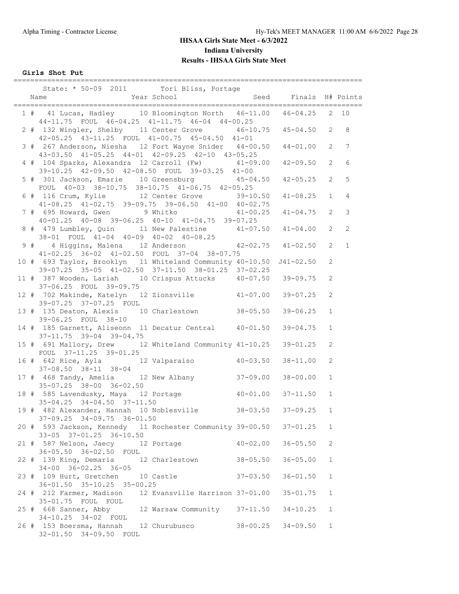**Girls Shot Put**

|  | State: * 50-09 2011 Tori Bliss, Portage                                                                                   |              |              |                |                |
|--|---------------------------------------------------------------------------------------------------------------------------|--------------|--------------|----------------|----------------|
|  | Year School Seed Finals H# Points<br>Name                                                                                 |              |              |                |                |
|  | 1 # 41 Lucas, Hadley 10 Bloomington North 46-11.00 46-04.25 2 10<br>44-11.75 FOUL 46-04.25 41-11.75 46-04 44-00.25        |              |              |                |                |
|  | 2 # 132 Wingler, Shelby 11 Center Grove 46-10.75 45-04.50 2<br>42-05.25 43-11.25 FOUL 41-00.75 45-04.50 41-01             |              |              |                | 8              |
|  | 3 # 267 Anderson, Niesha 12 Fort Wayne Snider 44-00.50<br>43-03.50 41-05.25 44-01 42-09.25 42-10 43-05.25                 |              | $44 - 01.00$ | $\overline{2}$ | 7              |
|  | 4 # 104 Sparks, Alexandra 12 Carroll (Fw) 41-09.00<br>39-10.25 42-09.50 42-08.50 FOUL 39-03.25 41-00                      |              | $42 - 09.50$ | $\overline{2}$ | 6              |
|  | 5 # 301 Jackson, Emarie 10 Greensburg 45-04.50<br>FOUL 40-03 38-10.75 38-10.75 41-06.75 42-05.25                          |              | $42 - 05.25$ | $\overline{2}$ | 5              |
|  | 6 # 116 Crum, Kylie 12 Center Grove 39-10.50<br>41-08.25 41-02.75 39-09.75 39-06.50 41-00 40-02.75                        |              | $41 - 08.25$ | $\mathbf{1}$   | 4              |
|  | 7 # 695 Howard, Gwen 9 Whitko 41-00.25<br>40-01.25 40-08 39-06.25 40-10 41-04.75 39-07.25                                 |              | $41 - 04.75$ | $\mathbf{2}$   | $\mathcal{S}$  |
|  | 8 # 479 Lumbley, Quin 11 New Palestine 41-07.50 41-04.00<br>38-01 FOUL 41-04 40-09 40-02 40-08.25                         |              |              | $\overline{2}$ | $\overline{c}$ |
|  | 9 # 4 Higgins, Malena 12 Anderson 42-02.75 41-02.50<br>41-02.25 36-02 41-02.50 FOUL 37-04 38-07.75                        |              |              | $\overline{2}$ | $\mathbf{1}$   |
|  | 10 # 693 Taylor, Brooklyn 11 Whiteland Community 40-10.50 J41-02.50<br>39-07.25 35-05 41-02.50 37-11.50 38-01.25 37-02.25 |              |              | $\overline{2}$ |                |
|  | 11 # 387 Wooden, Lariah 10 Crispus Attucks 40-07.50 39-09.75<br>37-06.25 FOUL 39-09.75                                    |              |              | 2              |                |
|  | 12 # 702 Makinde, Katelyn 12 Zionsville 41-07.00<br>39-07.25 37-07.25 FOUL                                                |              | $39 - 07.25$ | 2              |                |
|  | 13 # 135 Deaton, Alexis 10 Charlestown 38-05.50<br>39-06.25 FOUL 38-10                                                    |              | $39 - 06.25$ | $\mathbf{1}$   |                |
|  | 14 # 185 Garnett, Aliseonn 11 Decatur Central 40-01.50<br>$37 - 11.75$ $39 - 04$ $39 - 04.75$                             |              | 39-04.75     | $\mathbf{1}$   |                |
|  | 15 # 691 Mallory, Drew 12 Whiteland Community 41-10.25 39-01.25<br>FOUL 37-11.25 39-01.25                                 |              |              | 2              |                |
|  | $37-08.50$ $38-11$ $38-04$                                                                                                |              | 38-11.00     | 2              |                |
|  | 17 # 468 Tandy, Amelia 12 New Albany 37-09.00<br>35-07.25 38-00 36-02.50                                                  |              | $38 - 00.00$ | $\mathbf{1}$   |                |
|  | 18 # 585 Lavendusky, Maya 12 Portage 40-01.00 37-11.50<br>$35 - 04.25$ $34 - 04.50$ $37 - 11.50$                          |              |              | $\mathbf{1}$   |                |
|  | 19 # 482 Alexander, Hannah 10 Noblesville 38-03.50<br>37-09.25 34-09.75 36-01.50                                          |              | $37 - 09.25$ | $\mathbf{1}$   |                |
|  | 20 # 593 Jackson, Kennedy 11 Rochester Community 39-00.50 37-01.25<br>33-05 37-01.25 36-10.50                             |              |              | $\mathbf{1}$   |                |
|  | 21 # 587 Nelson, Jaecy 12 Portage<br>36-05.50 36-02.50 FOUL                                                               | $40 - 02.00$ | $36 - 05.50$ | $\mathbf{2}$   |                |
|  | 22 # 139 King, Demaria 12 Charlestown 38-05.50<br>$34-00$ $36-02.25$ $36-05$                                              |              | $36 - 05.00$ | $\mathbf{1}$   |                |
|  | 23 # 109 Hurt, Gretchen 10 Castle 37-03.50<br>36-01.50 35-10.25 35-00.25                                                  |              | $36 - 01.50$ | $\mathbf{1}$   |                |
|  | 24 # 212 Farmer, Madison 12 Evansville Harrison 37-01.00<br>35-01.75 FOUL FOUL                                            |              | $35 - 01.75$ | $\mathbf{1}$   |                |
|  | $25 * 668$ Sanner, Abby 12 Warsaw Community 37-11.50<br>34-10.25 34-02 FOUL                                               |              | $34 - 10.25$ | $\mathbf{1}$   |                |
|  | 26 # 153 Boersma, Hannah 12 Churubusco<br>32-01.50 34-09.50 FOUL                                                          | 38-00.25     | 34-09.50     | $\mathbf{1}$   |                |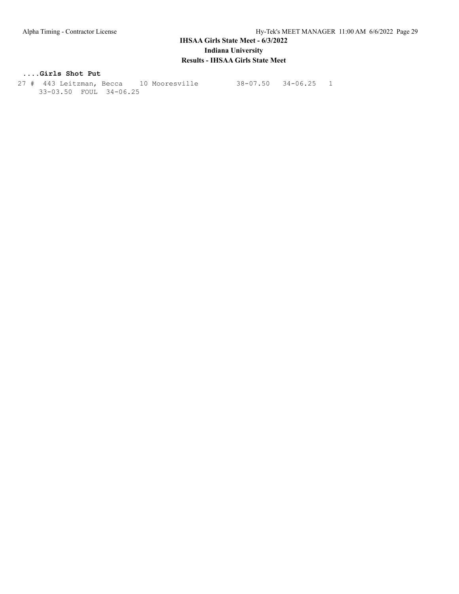#### **....Girls Shot Put**

 27 # 443 Leitzman, Becca 10 Mooresville 38-07.50 34-06.25 1 33-03.50 FOUL 34-06.25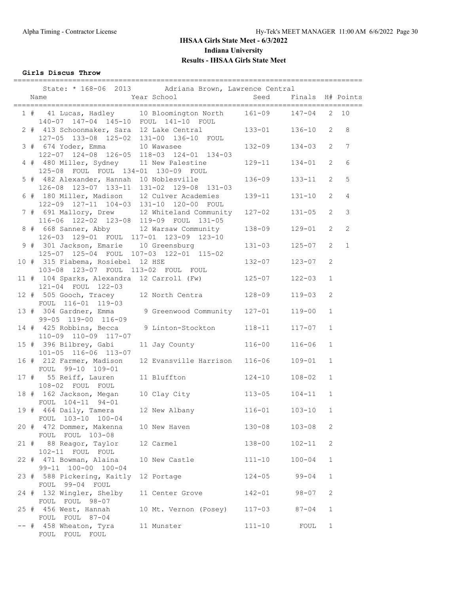**Girls Discus Throw**

|  |                                                                                  | State: * 168-06 2013 Adriana Brown, Lawrence Central                                    |            |                  |                |                 |
|--|----------------------------------------------------------------------------------|-----------------------------------------------------------------------------------------|------------|------------------|----------------|-----------------|
|  | Name                                                                             | Year School                                                                             | Seed       | Finals H# Points |                |                 |
|  |                                                                                  | 1 # 41 Lucas, Hadley 10 Bloomington North<br>140-07 147-04 145-10 FOUL 141-10 FOUL      | $161 - 09$ | $147 - 04$       |                | $2 \quad 10$    |
|  | 2 # 413 Schoonmaker, Sara 12 Lake Central                                        | 127-05 133-08 125-02 131-00 136-10 FOUL                                                 | $133 - 01$ | $136 - 10$       | $\overline{2}$ | 8               |
|  | 3 # 674 Yoder, Emma 10 Wawasee                                                   | $122-07 \quad 124-08 \quad 126-05 \quad 118-03 \quad 124-01 \quad 134-03$               | 132-09     | $134 - 03$       | $\overline{2}$ | $7\phantom{.0}$ |
|  | 4 # 480 Miller, Sydney 11 New Palestine<br>125-08 FOUL FOUL 134-01 130-09 FOUL   |                                                                                         | $129 - 11$ | $134 - 01$       | $\overline{2}$ | 6               |
|  | 5 # 482 Alexander, Hannah 10 Noblesville                                         | 126-08 123-07 133-11 131-02 129-08 131-03                                               | 136-09     | $133 - 11$       | $\overline{2}$ | 5               |
|  | 122-09 127-11 104-03 131-10 120-00 FOUL                                          | 6 # 180 Miller, Madison 12 Culver Academies                                             | 139-11     | $131 - 10$       | 2              | 4               |
|  |                                                                                  | 7 # 691 Mallory, Drew 12 Whiteland Community<br>116-06 122-02 123-08 119-09 FOUL 131-05 | $127 - 02$ | $131 - 05$       | $\overline{2}$ | $\mathcal{S}$   |
|  | 126-03 129-01 FOUL 117-01 123-09 123-10                                          | 8 # 668 Sanner, Abby 12 Warsaw Community                                                | 138-09     | $129 - 01$       | $\overline{2}$ | $\mathbf{2}$    |
|  | 9 # 301 Jackson, Emarie 10 Greensburg<br>125-07 125-04 FOUL 107-03 122-01 115-02 |                                                                                         | $131 - 03$ | $125 - 07$       | 2              | $\mathbf{1}$    |
|  | 10 # 315 Fiabema, Rosiebel 12 HSE<br>103-08 123-07 FOUL 113-02 FOUL FOUL         |                                                                                         | $132 - 07$ | $123 - 07$       | 2              |                 |
|  | 11 # 104 Sparks, Alexandra 12 Carroll (Fw)<br>121-04 FOUL 122-03                 |                                                                                         | $125 - 07$ | $122 - 03$       | $\mathbf{1}$   |                 |
|  | FOUL 116-01 119-03                                                               | 12 # 505 Gooch, Tracey 12 North Centra                                                  | 128-09     | $119 - 03$       | 2              |                 |
|  | 99-05 119-00 116-09                                                              | 13 # 304 Gardner, Emma 9 Greenwood Community                                            | $127 - 01$ | $119 - 00$       | $\mathbf{1}$   |                 |
|  | 110-09 110-09 117-07                                                             | 14 # 425 Robbins, Becca 9 Linton-Stockton                                               | $118 - 11$ | $117 - 07$       | $\mathbf{1}$   |                 |
|  | 15 # 396 Bilbrey, Gabi<br>101-05 116-06 113-07                                   | 11 Jay County                                                                           | $116 - 00$ | $116 - 06$       | $\mathbf{1}$   |                 |
|  | 16 # 212 Farmer, Madison<br>FOUL 99-10 109-01                                    | 12 Evansville Harrison                                                                  | $116 - 06$ | 109-01           | $\mathbf{1}$   |                 |
|  | 17 # 55 Reiff, Lauren 11 Bluffton<br>108-02 FOUL FOUL                            |                                                                                         | $124 - 10$ | $108 - 02$       | $\mathbf{1}$   |                 |
|  | 18 # 162 Jackson, Megan 10 Clay City<br>FOUL 104-11 94-01                        |                                                                                         | $113 - 05$ | $104 - 11$       | $\mathbf{1}$   |                 |
|  | 19 # 464 Daily, Tamera<br>FOUL 103-10 100-04                                     | 12 New Albany                                                                           | $116 - 01$ | $103 - 10$       | $\mathbf{1}$   |                 |
|  | 20 # 472 Dommer, Makenna 10 New Haven<br>FOUL FOUL 103-08                        |                                                                                         | $130 - 08$ | $103 - 08$       | 2              |                 |
|  | 21 # 88 Reagor, Taylor<br>102-11 FOUL FOUL                                       | 12 Carmel                                                                               | 138-00     | $102 - 11$       | 2              |                 |
|  | 22 # 471 Bowman, Alaina<br>99-11 100-00 100-04                                   | 10 New Castle                                                                           | $111 - 10$ | $100 - 04$       | $\mathbf 1$    |                 |
|  | 23 # 588 Pickering, Kaitly 12 Portage<br>FOUL 99-04 FOUL                         |                                                                                         | $124 - 05$ | $99 - 04$        | $\mathbf{1}$   |                 |
|  | 24 # 132 Wingler, Shelby<br>FOUL FOUL 98-07                                      | 11 Center Grove                                                                         | 142-01     | $98 - 07$        | 2              |                 |
|  | 25 # 456 West, Hannah<br>FOUL FOUL 87-04                                         | 10 Mt. Vernon (Posey)                                                                   | $117 - 03$ | $87 - 04$        | $\mathbf{1}$   |                 |
|  | -- # 458 Wheaton, Tyra 11 Munster<br>FOUL FOUL FOUL                              |                                                                                         | $111 - 10$ | FOUL             | $\mathbf{1}$   |                 |